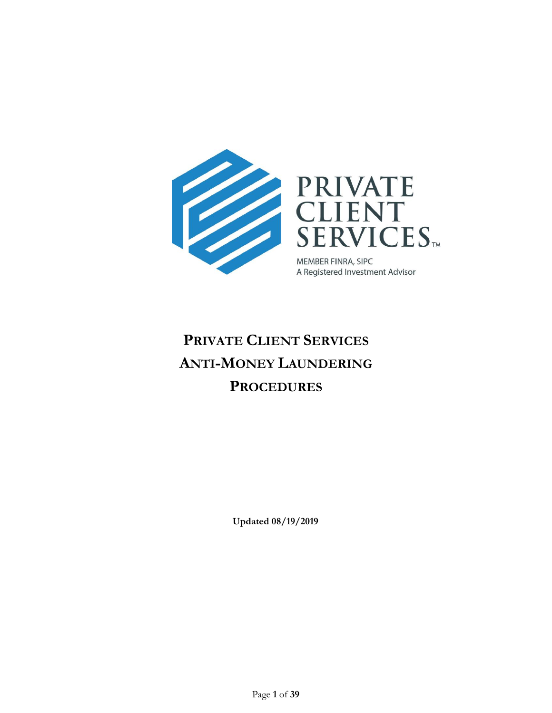

# **PRIVATE CLIENT SERVICES ANTI-MONEY LAUNDERING PROCEDURES**

**Updated 08/19/2019**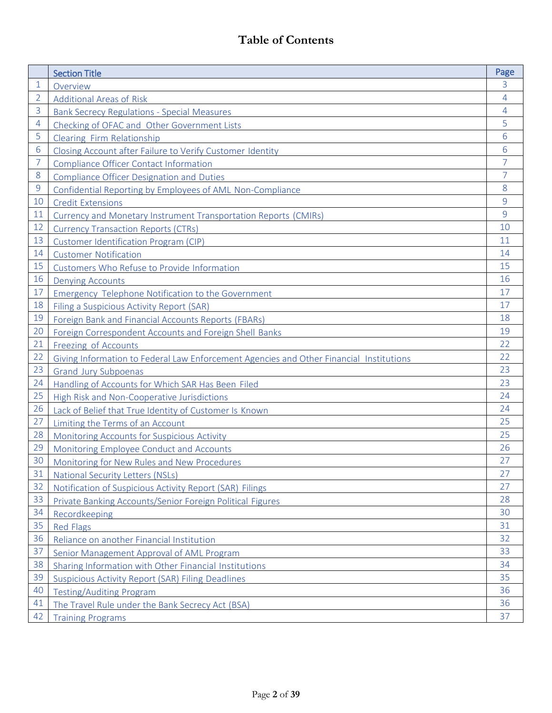# **Table of Contents**

|                | <b>Section Title</b>                                                                    | Page |
|----------------|-----------------------------------------------------------------------------------------|------|
| $\mathbf 1$    | Overview                                                                                | 3    |
| 2              | <b>Additional Areas of Risk</b>                                                         | 4    |
| 3              | <b>Bank Secrecy Regulations - Special Measures</b>                                      | 4    |
| $\overline{4}$ | Checking of OFAC and Other Government Lists                                             | 5    |
| 5              | Clearing Firm Relationship                                                              | 6    |
| 6              | Closing Account after Failure to Verify Customer Identity                               | 6    |
| $\overline{7}$ | <b>Compliance Officer Contact Information</b>                                           | 7    |
| 8              | <b>Compliance Officer Designation and Duties</b>                                        | 7    |
| 9              | Confidential Reporting by Employees of AML Non-Compliance                               | 8    |
| 10             | <b>Credit Extensions</b>                                                                | 9    |
| 11             | Currency and Monetary Instrument Transportation Reports (CMIRs)                         | 9    |
| 12             | <b>Currency Transaction Reports (CTRs)</b>                                              | 10   |
| 13             | <b>Customer Identification Program (CIP)</b>                                            | 11   |
| 14             | <b>Customer Notification</b>                                                            | 14   |
| 15             | Customers Who Refuse to Provide Information                                             | 15   |
| 16             | <b>Denying Accounts</b>                                                                 | 16   |
| 17             | Emergency Telephone Notification to the Government                                      | 17   |
| 18             | Filing a Suspicious Activity Report (SAR)                                               | 17   |
| 19             | Foreign Bank and Financial Accounts Reports (FBARs)                                     | 18   |
| 20             | Foreign Correspondent Accounts and Foreign Shell Banks                                  | 19   |
| 21             | Freezing of Accounts                                                                    | 22   |
| 22             | Giving Information to Federal Law Enforcement Agencies and Other Financial Institutions | 22   |
| 23             | Grand Jury Subpoenas                                                                    | 23   |
| 24             | Handling of Accounts for Which SAR Has Been Filed                                       | 23   |
| 25             | High Risk and Non-Cooperative Jurisdictions                                             | 24   |
| 26             | Lack of Belief that True Identity of Customer Is Known                                  | 24   |
| 27             | Limiting the Terms of an Account                                                        | 25   |
| 28             | Monitoring Accounts for Suspicious Activity                                             | 25   |
| 29             | Monitoring Employee Conduct and Accounts                                                | 26   |
| 30             | Monitoring for New Rules and New Procedures                                             | 27   |
| 31             | <b>National Security Letters (NSLs)</b>                                                 | 27   |
| 32             | Notification of Suspicious Activity Report (SAR) Filings                                | 27   |
| 33             | Private Banking Accounts/Senior Foreign Political Figures                               | 28   |
| 34             | Recordkeeping                                                                           | 30   |
| 35             | <b>Red Flags</b>                                                                        | 31   |
| 36             | Reliance on another Financial Institution                                               | 32   |
| 37             | Senior Management Approval of AML Program                                               | 33   |
| 38             | Sharing Information with Other Financial Institutions                                   | 34   |
| 39             | <b>Suspicious Activity Report (SAR) Filing Deadlines</b>                                | 35   |
| 40             | <b>Testing/Auditing Program</b>                                                         | 36   |
| 41             | The Travel Rule under the Bank Secrecy Act (BSA)                                        | 36   |
| 42             | <b>Training Programs</b>                                                                | 37   |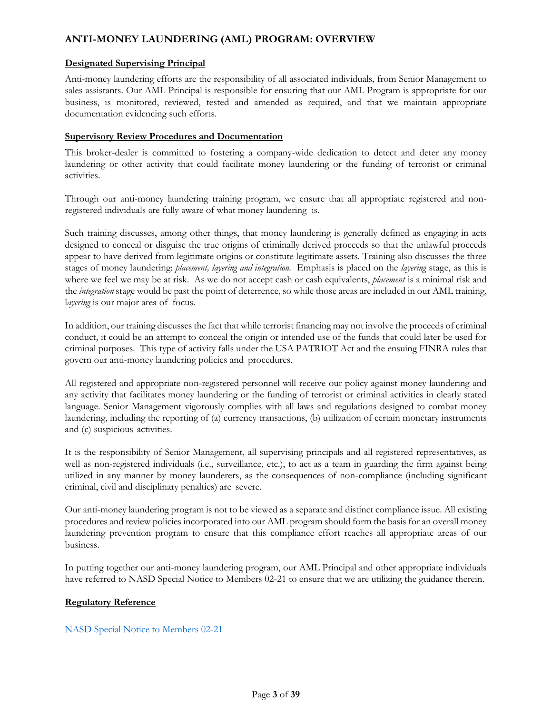# **ANTI-MONEY LAUNDERING (AML) PROGRAM: OVERVIEW**

# **Designated Supervising Principal**

Anti-money laundering efforts are the responsibility of all associated individuals, from Senior Management to sales assistants. Our AML Principal is responsible for ensuring that our AML Program is appropriate for our business, is monitored, reviewed, tested and amended as required, and that we maintain appropriate documentation evidencing such efforts.

### **Supervisory Review Procedures and Documentation**

This broker-dealer is committed to fostering a company-wide dedication to detect and deter any money laundering or other activity that could facilitate money laundering or the funding of terrorist or criminal activities.

Through our anti-money laundering training program, we ensure that all appropriate registered and nonregistered individuals are fully aware of what money laundering is.

Such training discusses, among other things, that money laundering is generally defined as engaging in acts designed to conceal or disguise the true origins of criminally derived proceeds so that the unlawful proceeds appear to have derived from legitimate origins or constitute legitimate assets. Training also discusses the three stages of money laundering: *placement, layering and integration.* Emphasis is placed on the *layering* stage, as this is where we feel we may be at risk. As we do not accept cash or cash equivalents, *placement* is a minimal risk and the *integration* stage would be past the point of deterrence, so while those areas are included in our AML training, l*ayering* is our major area of focus.

In addition, our training discusses the fact that while terrorist financing may not involve the proceeds of criminal conduct, it could be an attempt to conceal the origin or intended use of the funds that could later be used for criminal purposes. This type of activity falls under the USA PATRIOT Act and the ensuing FINRA rules that govern our anti-money laundering policies and procedures.

All registered and appropriate non-registered personnel will receive our policy against money laundering and any activity that facilitates money laundering or the funding of terrorist or criminal activities in clearly stated language. Senior Management vigorously complies with all laws and regulations designed to combat money laundering, including the reporting of (a) currency transactions, (b) utilization of certain monetary instruments and (c) suspicious activities.

It is the responsibility of Senior Management, all supervising principals and all registered representatives, as well as non-registered individuals (i.e., surveillance, etc.), to act as a team in guarding the firm against being utilized in any manner by money launderers, as the consequences of non-compliance (including significant criminal, civil and disciplinary penalties) are severe.

Our anti-money laundering program is not to be viewed as a separate and distinct compliance issue. All existing procedures and review policies incorporated into our AML program should form the basis for an overall money laundering prevention program to ensure that this compliance effort reaches all appropriate areas of our business.

In putting together our anti-money laundering program, our AML Principal and other appropriate individuals have referred to NASD Special Notice to Members 02-21 to ensure that we are utilizing the guidance therein.

# **Regulatory Reference**

NASD Special Notice to Members 02-21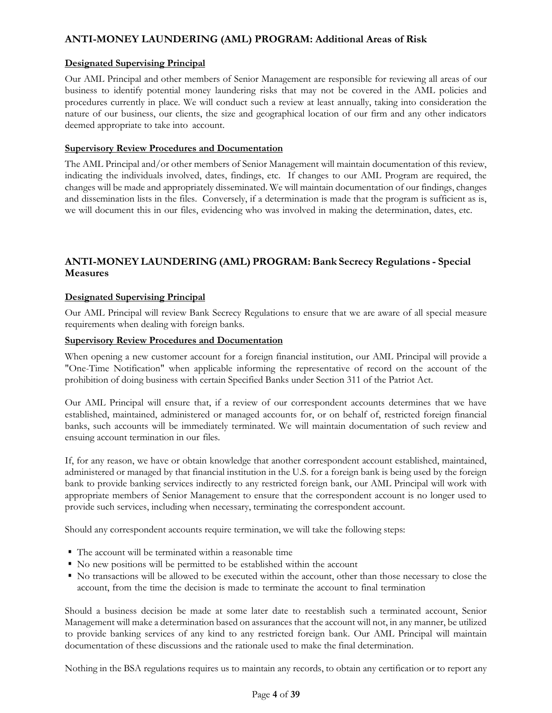# **ANTI-MONEY LAUNDERING (AML) PROGRAM: Additional Areas of Risk**

# **Designated Supervising Principal**

Our AML Principal and other members of Senior Management are responsible for reviewing all areas of our business to identify potential money laundering risks that may not be covered in the AML policies and procedures currently in place. We will conduct such a review at least annually, taking into consideration the nature of our business, our clients, the size and geographical location of our firm and any other indicators deemed appropriate to take into account.

#### **Supervisory Review Procedures and Documentation**

The AML Principal and/or other members of Senior Management will maintain documentation of this review, indicating the individuals involved, dates, findings, etc. If changes to our AML Program are required, the changes will be made and appropriately disseminated. We will maintain documentation of our findings, changes and dissemination lists in the files. Conversely, if a determination is made that the program is sufficient as is, we will document this in our files, evidencing who was involved in making the determination, dates, etc.

# **ANTI-MONEY LAUNDERING (AML) PROGRAM: Bank Secrecy Regulations - Special Measures**

#### **Designated Supervising Principal**

Our AML Principal will review Bank Secrecy Regulations to ensure that we are aware of all special measure requirements when dealing with foreign banks.

#### **Supervisory Review Procedures and Documentation**

When opening a new customer account for a foreign financial institution, our AML Principal will provide a "One-Time Notification" when applicable informing the representative of record on the account of the prohibition of doing business with certain Specified Banks under Section 311 of the Patriot Act.

Our AML Principal will ensure that, if a review of our correspondent accounts determines that we have established, maintained, administered or managed accounts for, or on behalf of, restricted foreign financial banks, such accounts will be immediately terminated. We will maintain documentation of such review and ensuing account termination in our files.

If, for any reason, we have or obtain knowledge that another correspondent account established, maintained, administered or managed by that financial institution in the U.S. for a foreign bank is being used by the foreign bank to provide banking services indirectly to any restricted foreign bank, our AML Principal will work with appropriate members of Senior Management to ensure that the correspondent account is no longer used to provide such services, including when necessary, terminating the correspondent account.

Should any correspondent accounts require termination, we will take the following steps:

- The account will be terminated within a reasonable time
- No new positions will be permitted to be established within the account
- No transactions will be allowed to be executed within the account, other than those necessary to close the account, from the time the decision is made to terminate the account to final termination

Should a business decision be made at some later date to reestablish such a terminated account, Senior Management will make a determination based on assurances that the account will not, in any manner, be utilized to provide banking services of any kind to any restricted foreign bank. Our AML Principal will maintain documentation of these discussions and the rationale used to make the final determination.

Nothing in the BSA regulations requires us to maintain any records, to obtain any certification or to report any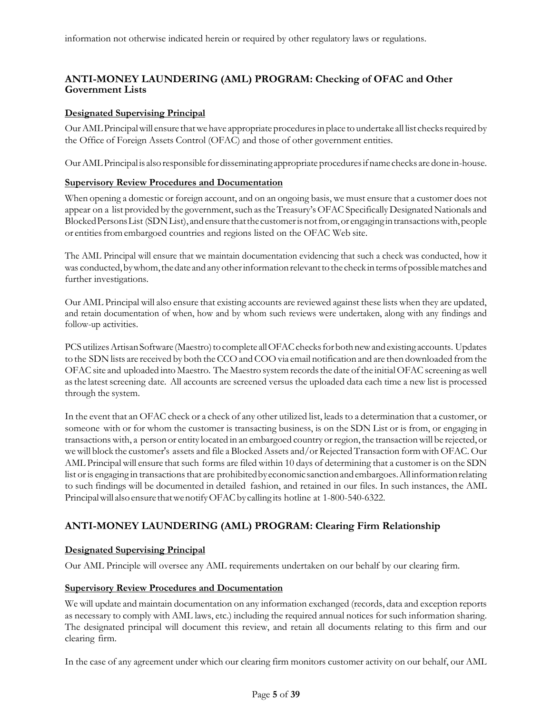# **ANTI-MONEY LAUNDERING (AML) PROGRAM: Checking of OFAC and Other Government Lists**

# **Designated Supervising Principal**

Our AML Principal will ensure that we have appropriate procedures in place to undertake all list checks required by the Office of Foreign Assets Control (OFAC) and those of other government entities.

OurAMLPrincipalis alsoresponsible fordisseminating appropriate proceduresifname checks are done in-house.

# **Supervisory Review Procedures and Documentation**

When opening a domestic or foreign account, and on an ongoing basis, we must ensure that a customer does not appear on a list provided by the government, such as the Treasury's OFAC Specifically Designated Nationals and BlockedPersonsList (SDNList), andensure thatthecustomerisnotfrom,or engaging intransactionswith,people or entities from embargoed countries and regions listed on the OFAC Web site.

The AML Principal will ensure that we maintain documentation evidencing that such a check was conducted, how it was conducted, by whom, the date and any other information relevant to the check in terms of possible matches and further investigations.

Our AML Principal will also ensure that existing accounts are reviewed against these lists when they are updated, and retain documentation of when, how and by whom such reviews were undertaken, along with any findings and follow-up activities.

PCS utilizes Artisan Software (Maestro) to complete all OFAC checks for both new and existing accounts. Updates to the SDN lists are received by both the CCO and COO via email notification and are then downloaded from the OFAC site and uploaded into Maestro. The Maestro system records the date of the initial OFAC screening as well asthe latestscreening date. All accounts are screened versus the uploaded data each time a new list is processed through the system.

In the event that an OFAC check or a check of any other utilized list, leads to a determination that a customer, or someone with or for whom the customer is transacting business, is on the SDN List or is from, or engaging in transactions with, a person or entity located in an embargoed country orregion,the transactionwill be rejected, or wewill block the customer's assets and file a Blocked Assets and/or Rejected Transaction form with OFAC. Our AML Principal will ensure that such forms are filed within 10 days of determining that a customer is on the SDN list or is engaging in transactions that are prohibited by economic sanction and embargoes. All information relating to such findings will be documented in detailed fashion, and retained in our files. In such instances, the AML Principalwill alsoensure thatwenotifyOFACby calling its hotline at 1-800-540-6322.

# **ANTI-MONEY LAUNDERING (AML) PROGRAM: Clearing Firm Relationship**

# **Designated Supervising Principal**

Our AML Principle will oversee any AML requirements undertaken on our behalf by our clearing firm.

#### **Supervisory Review Procedures and Documentation**

We will update and maintain documentation on any information exchanged (records, data and exception reports as necessary to comply with AML laws, etc.) including the required annual notices for such information sharing. The designated principal will document this review, and retain all documents relating to this firm and our clearing firm.

In the case of any agreement under which our clearing firm monitors customer activity on our behalf, our AML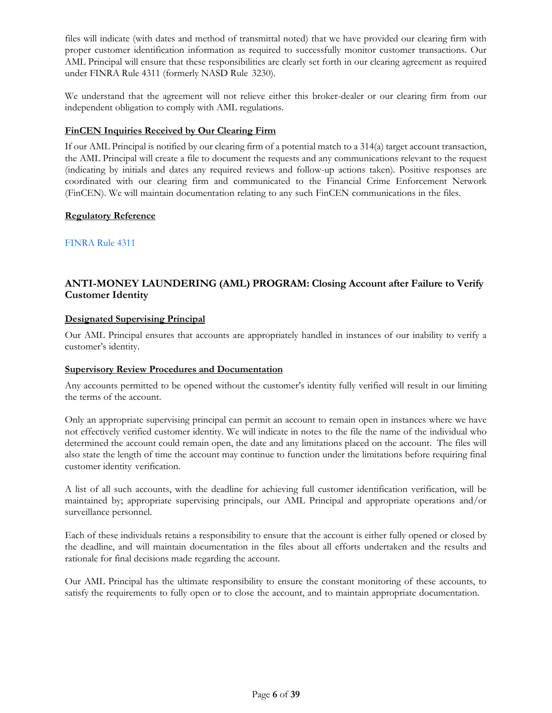files will indicate (with dates and method of transmittal noted) that we have provided our clearing firm with proper customer identification information as required to successfully monitor customer transactions. Our AML Principal will ensure that these responsibilities are clearly set forth in our clearing agreement as required under FINRA Rule 4311 (formerly NASD Rule 3230).

We understand that the agreement will not relieve either this broker-dealer or our clearing firm from our independent obligation to comply with AML regulations.

# **FinCEN Inquiries Received by Our Clearing Firm**

If our AML Principal is notified by our clearing firm of a potential match to a 314(a) target account transaction, the AML Principal will create a file to document the requests and any communications relevant to the request (indicating by initials and dates any required reviews and follow-up actions taken). Positive responses are coordinated with our clearing firm and communicated to the Financial Crime Enforcement Network (FinCEN). We will maintain documentation relating to any such FinCEN communications in the files.

#### **Regulatory Reference**

#### FINRA Rule 4311

# **ANTI-MONEY LAUNDERING (AML) PROGRAM: Closing Account after Failure to Verify Customer Identity**

#### **Designated Supervising Principal**

Our AML Principal ensures that accounts are appropriately handled in instances of our inability to verify a customer's identity.

#### **Supervisory Review Procedures and Documentation**

Any accounts permitted to be opened without the customer's identity fully verified will result in our limiting the terms of the account.

Only an appropriate supervising principal can permit an account to remain open in instances where we have not effectively verified customer identity. We will indicate in notes to the file the name of the individual who determined the account could remain open, the date and any limitations placed on the account. The files will also state the length of time the account may continue to function under the limitations before requiring final customer identity verification.

A list of all such accounts, with the deadline for achieving full customer identification verification, will be maintained by; appropriate supervising principals, our AML Principal and appropriate operations and/or surveillance personnel.

Each of these individuals retains a responsibility to ensure that the account is either fully opened or closed by the deadline, and will maintain documentation in the files about all efforts undertaken and the results and rationale for final decisions made regarding the account.

Our AML Principal has the ultimate responsibility to ensure the constant monitoring of these accounts, to satisfy the requirements to fully open or to close the account, and to maintain appropriate documentation.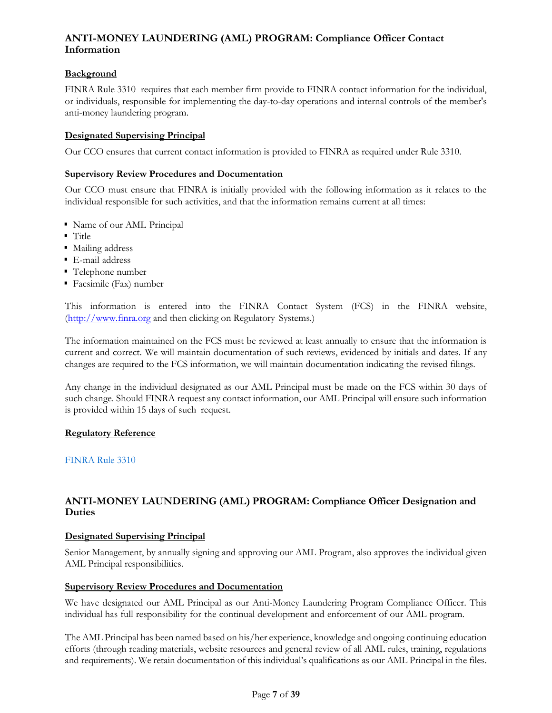# **ANTI-MONEY LAUNDERING (AML) PROGRAM: Compliance Officer Contact Information**

# **Background**

FINRA Rule 3310 requires that each member firm provide to FINRA contact information for the individual, or individuals, responsible for implementing the day-to-day operations and internal controls of the member's anti-money laundering program.

# **Designated Supervising Principal**

Our CCO ensures that current contact information is provided to FINRA as required under Rule 3310.

# **Supervisory Review Procedures and Documentation**

Our CCO must ensure that FINRA is initially provided with the following information as it relates to the individual responsible for such activities, and that the information remains current at all times:

- Name of our AML Principal
- **Title**
- Mailing address
- E-mail address
- Telephone number
- Facsimile (Fax) number

This information is entered into the FINRA Contact System (FCS) in the FINRA website, [\(http://www.finra.org](http://www.finra.org/) and then clicking on Regulatory Systems.)

The information maintained on the FCS must be reviewed at least annually to ensure that the information is current and correct. We will maintain documentation of such reviews, evidenced by initials and dates. If any changes are required to the FCS information, we will maintain documentation indicating the revised filings.

Any change in the individual designated as our AML Principal must be made on the FCS within 30 days of such change. Should FINRA request any contact information, our AML Principal will ensure such information is provided within 15 days of such request.

# **Regulatory Reference**

# FINRA Rule 3310

# **ANTI-MONEY LAUNDERING (AML) PROGRAM: Compliance Officer Designation and Duties**

# **Designated Supervising Principal**

Senior Management, by annually signing and approving our AML Program, also approves the individual given AML Principal responsibilities.

# **Supervisory Review Procedures and Documentation**

We have designated our AML Principal as our Anti-Money Laundering Program Compliance Officer. This individual has full responsibility for the continual development and enforcement of our AML program.

The AML Principal has been named based on his/her experience, knowledge and ongoing continuing education efforts (through reading materials, website resources and general review of all AML rules, training, regulations and requirements). We retain documentation of this individual's qualifications as our AML Principal in the files.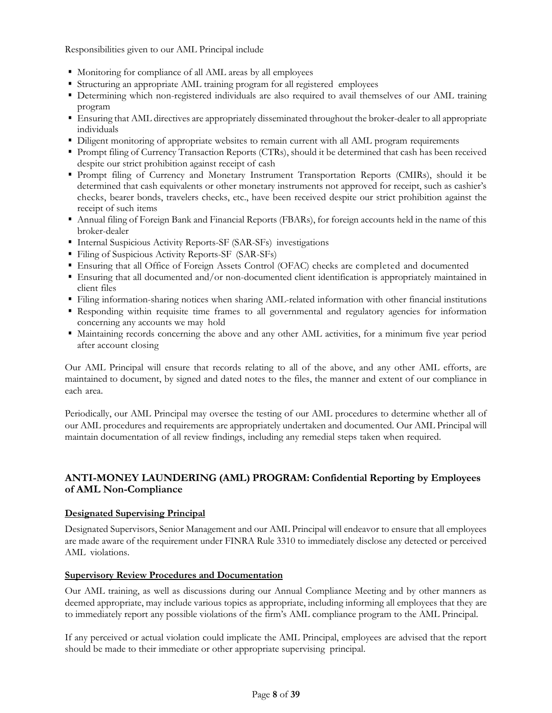Responsibilities given to our AML Principal include

- Monitoring for compliance of all AML areas by all employees
- Structuring an appropriate AML training program for all registered employees
- Determining which non-registered individuals are also required to avail themselves of our AML training program
- Ensuring that AML directives are appropriately disseminated throughout the broker-dealer to all appropriate individuals
- Diligent monitoring of appropriate websites to remain current with all AML program requirements
- **Prompt filing of Currency Transaction Reports (CTRs), should it be determined that cash has been received** despite our strict prohibition against receipt of cash
- Prompt filing of Currency and Monetary Instrument Transportation Reports (CMIRs), should it be determined that cash equivalents or other monetary instruments not approved for receipt, such as cashier's checks, bearer bonds, travelers checks, etc., have been received despite our strict prohibition against the receipt of such items
- Annual filing of Foreign Bank and Financial Reports (FBARs), for foreign accounts held in the name of this broker-dealer
- Internal Suspicious Activity Reports-SF (SAR-SFs) investigations
- Filing of Suspicious Activity Reports-SF (SAR-SFs)
- Ensuring that all Office of Foreign Assets Control (OFAC) checks are completed and documented
- Ensuring that all documented and/or non-documented client identification is appropriately maintained in client files
- Filing information-sharing notices when sharing AML-related information with other financial institutions
- Responding within requisite time frames to all governmental and regulatory agencies for information concerning any accounts we may hold
- Maintaining records concerning the above and any other AML activities, for a minimum five year period after account closing

Our AML Principal will ensure that records relating to all of the above, and any other AML efforts, are maintained to document, by signed and dated notes to the files, the manner and extent of our compliance in each area.

Periodically, our AML Principal may oversee the testing of our AML procedures to determine whether all of our AML procedures and requirements are appropriately undertaken and documented. Our AML Principal will maintain documentation of all review findings, including any remedial steps taken when required.

# **ANTI-MONEY LAUNDERING (AML) PROGRAM: Confidential Reporting by Employees of AML Non-Compliance**

# **Designated Supervising Principal**

Designated Supervisors, Senior Management and our AML Principal will endeavor to ensure that all employees are made aware of the requirement under FINRA Rule 3310 to immediately disclose any detected or perceived AML violations.

# **Supervisory Review Procedures and Documentation**

Our AML training, as well as discussions during our Annual Compliance Meeting and by other manners as deemed appropriate, may include various topics as appropriate, including informing all employees that they are to immediately report any possible violations of the firm's AML compliance program to the AML Principal.

If any perceived or actual violation could implicate the AML Principal, employees are advised that the report should be made to their immediate or other appropriate supervising principal.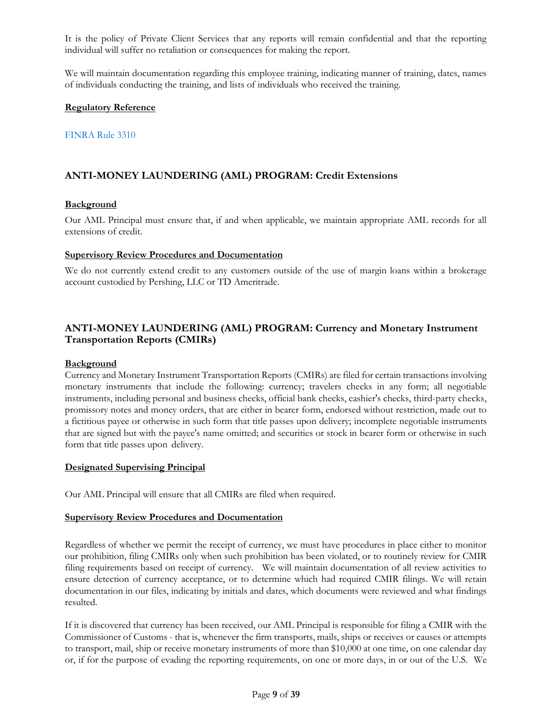It is the policy of Private Client Services that any reports will remain confidential and that the reporting individual will suffer no retaliation or consequences for making the report.

We will maintain documentation regarding this employee training, indicating manner of training, dates, names of individuals conducting the training, and lists of individuals who received the training.

#### **Regulatory Reference**

#### FINRA Rule 3310

# **ANTI-MONEY LAUNDERING (AML) PROGRAM: Credit Extensions**

#### **Background**

Our AML Principal must ensure that, if and when applicable, we maintain appropriate AML records for all extensions of credit.

#### **Supervisory Review Procedures and Documentation**

We do not currently extend credit to any customers outside of the use of margin loans within a brokerage account custodied by Pershing, LLC or TD Ameritrade.

# **ANTI-MONEY LAUNDERING (AML) PROGRAM: Currency and Monetary Instrument Transportation Reports (CMIRs)**

#### **Background**

Currency and Monetary Instrument Transportation Reports (CMIRs) are filed for certain transactions involving monetary instruments that include the following: currency; travelers checks in any form; all negotiable instruments, including personal and business checks, official bank checks, cashier's checks, third-party checks, promissory notes and money orders, that are either in bearer form, endorsed without restriction, made out to a fictitious payee or otherwise in such form that title passes upon delivery; incomplete negotiable instruments that are signed but with the payee's name omitted; and securities or stock in bearer form or otherwise in such form that title passes upon delivery.

#### **Designated Supervising Principal**

Our AML Principal will ensure that all CMIRs are filed when required.

#### **Supervisory Review Procedures and Documentation**

Regardless of whether we permit the receipt of currency, we must have procedures in place either to monitor our prohibition, filing CMIRs only when such prohibition has been violated, or to routinely review for CMIR filing requirements based on receipt of currency. We will maintain documentation of all review activities to ensure detection of currency acceptance, or to determine which had required CMIR filings. We will retain documentation in our files, indicating by initials and dates, which documents were reviewed and what findings resulted.

If it is discovered that currency has been received, our AML Principal is responsible for filing a CMIR with the Commissioner of Customs - that is, whenever the firm transports, mails, ships or receives or causes or attempts to transport, mail, ship or receive monetary instruments of more than \$10,000 at one time, on one calendar day or, if for the purpose of evading the reporting requirements, on one or more days, in or out of the U.S. We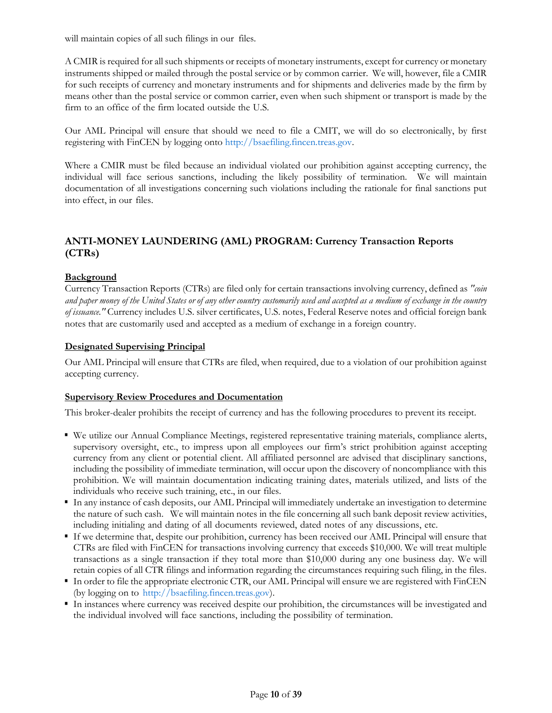will maintain copies of all such filings in our files.

A CMIR is required for all such shipments or receipts of monetary instruments, except for currency or monetary instruments shipped or mailed through the postal service or by common carrier. We will, however, file a CMIR for such receipts of currency and monetary instruments and for shipments and deliveries made by the firm by means other than the postal service or common carrier, even when such shipment or transport is made by the firm to an office of the firm located outside the U.S.

Our AML Principal will ensure that should we need to file a CMIT, we will do so electronically, by first registering with FinCEN by logging ont[o http://bsaefiling.fincen.treas.gov.](http://bsaefiling.fincen.treas.gov/)

Where a CMIR must be filed because an individual violated our prohibition against accepting currency, the individual will face serious sanctions, including the likely possibility of termination. We will maintain documentation of all investigations concerning such violations including the rationale for final sanctions put into effect, in our files.

# **ANTI-MONEY LAUNDERING (AML) PROGRAM: Currency Transaction Reports (CTRs)**

# **Background**

Currency Transaction Reports (CTRs) are filed only for certain transactions involving currency, defined as *"coin and paper money of the United States or of any other country customarily used and accepted as a medium of exchange in the country of issuance."* Currency includes U.S. silver certificates, U.S. notes, Federal Reserve notes and official foreign bank notes that are customarily used and accepted as a medium of exchange in a foreign country.

# **Designated Supervising Principal**

Our AML Principal will ensure that CTRs are filed, when required, due to a violation of our prohibition against accepting currency.

# **Supervisory Review Procedures and Documentation**

This broker-dealer prohibits the receipt of currency and has the following procedures to prevent its receipt.

- We utilize our Annual Compliance Meetings, registered representative training materials, compliance alerts, supervisory oversight, etc., to impress upon all employees our firm's strict prohibition against accepting currency from any client or potential client. All affiliated personnel are advised that disciplinary sanctions, including the possibility of immediate termination, will occur upon the discovery of noncompliance with this prohibition. We will maintain documentation indicating training dates, materials utilized, and lists of the individuals who receive such training, etc., in our files.
- In any instance of cash deposits, our AML Principal will immediately undertake an investigation to determine the nature of such cash. We will maintain notes in the file concerning all such bank deposit review activities, including initialing and dating of all documents reviewed, dated notes of any discussions, etc.
- If we determine that, despite our prohibition, currency has been received our AML Principal will ensure that CTRs are filed with FinCEN for transactions involving currency that exceeds \$10,000. We will treat multiple transactions as a single transaction if they total more than \$10,000 during any one business day. We will retain copies of all CTR filings and information regarding the circumstances requiring such filing, in the files.
- In order to file the appropriate electronic CTR, our AML Principal will ensure we are registered with FinCEN (by logging on to http://bsaefiling.fincen.treas.gov).
- In instances where currency was received despite our prohibition, the circumstances will be investigated and the individual involved will face sanctions, including the possibility of termination.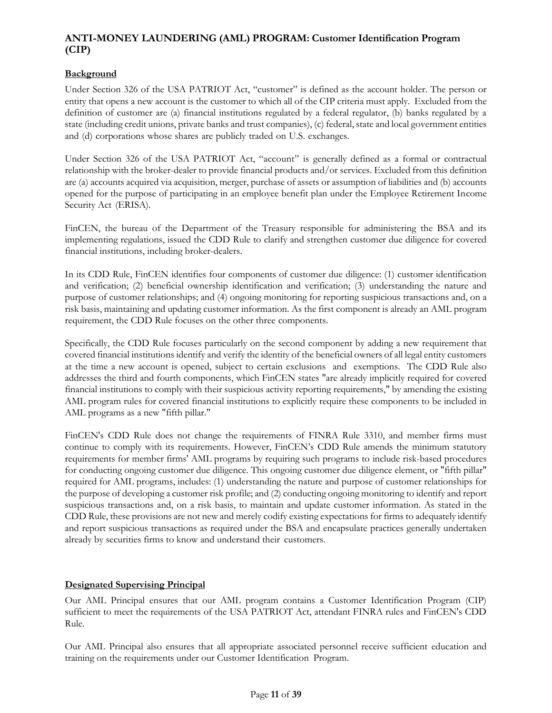# **ANTI-MONEY LAUNDERING (AML) PROGRAM: Customer Identification Program (CIP)**

# **Background**

Under Section 326 of the USA PATRIOT Act, "customer" is defined as the account holder. The person or entity that opens a new account is the customer to which all of the CIP criteria must apply. Excluded from the definition of customer are (a) financial institutions regulated by a federal regulator, (b) banks regulated by a state (including credit unions, private banks and trust companies), (c) federal, state and local government entities and (d) corporations whose shares are publicly traded on U.S. exchanges.

Under Section 326 of the USA PATRIOT Act, "account" is generally defined as a formal or contractual relationship with the broker-dealer to provide financial products and/or services. Excluded from this definition are (a) accounts acquired via acquisition, merger, purchase of assets or assumption of liabilities and (b) accounts opened for the purpose of participating in an employee benefit plan under the Employee Retirement Income Security Act (ERISA).

FinCEN, the bureau of the Department of the Treasury responsible for administering the BSA and its implementing regulations, issued the CDD Rule to clarify and strengthen customer due diligence for covered financial institutions, including broker-dealers.

In its CDD Rule, FinCEN identifies four components of customer due diligence: (1) customer identification and verification; (2) beneficial ownership identification and verification; (3) understanding the nature and purpose of customer relationships; and (4) ongoing monitoring for reporting suspicious transactions and, on a risk basis, maintaining and updating customer information. As the first component is already an AML program requirement, the CDD Rule focuses on the other three components.

Specifically, the CDD Rule focuses particularly on the second component by adding a new requirement that covered financial institutions identify and verify the identity of the beneficial owners of all legal entity customers at the time a new account is opened, subject to certain exclusions and exemptions. The CDD Rule also addresses the third and fourth components, which FinCEN states "are already implicitly required for covered financial institutions to comply with their suspicious activity reporting requirements," by amending the existing AML program rules for covered financial institutions to explicitly require these components to be included in AML programs as a new "fifth pillar."

FinCEN's CDD Rule does not change the requirements of FINRA Rule 3310, and member firms must continue to comply with its requirements. However, FinCEN's CDD Rule amends the minimum statutory requirements for member firms' AML programs by requiring such programs to include risk-based procedures for conducting ongoing customer due diligence. This ongoing customer due diligence element, or "fifth pillar" required for AML programs, includes: (1) understanding the nature and purpose of customer relationships for the purpose of developing a customer risk profile; and (2) conducting ongoing monitoring to identify and report suspicious transactions and, on a risk basis, to maintain and update customer information. As stated in the CDD Rule, these provisions are not new and merely codify existing expectations for firms to adequately identify and report suspicious transactions as required under the BSA and encapsulate practices generally undertaken already by securities firms to know and understand their customers.

# **Designated Supervising Principal**

Our AML Principal ensures that our AML program contains a Customer Identification Program (CIP) sufficient to meet the requirements of the USA PATRIOT Act, attendant FINRA rules and FinCEN's CDD Rule.

Our AML Principal also ensures that all appropriate associated personnel receive sufficient education and training on the requirements under our Customer Identification Program.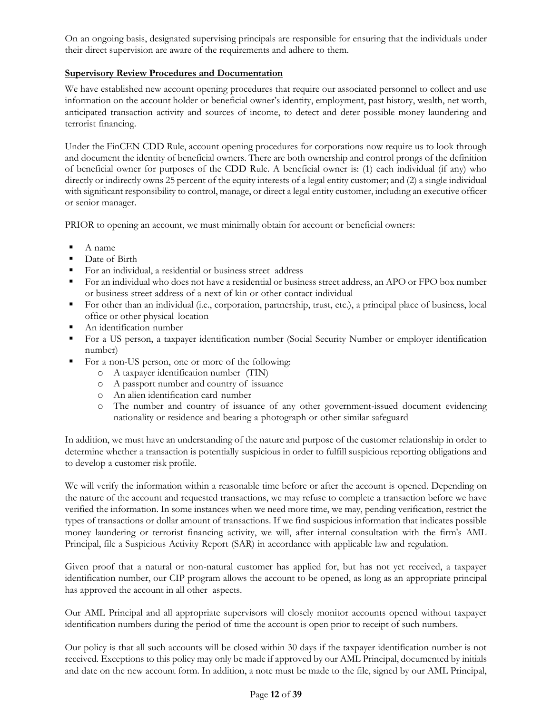On an ongoing basis, designated supervising principals are responsible for ensuring that the individuals under their direct supervision are aware of the requirements and adhere to them.

# **Supervisory Review Procedures and Documentation**

We have established new account opening procedures that require our associated personnel to collect and use information on the account holder or beneficial owner's identity, employment, past history, wealth, net worth, anticipated transaction activity and sources of income, to detect and deter possible money laundering and terrorist financing.

Under the FinCEN CDD Rule, account opening procedures for corporations now require us to look through and document the identity of beneficial owners. There are both ownership and control prongs of the definition of beneficial owner for purposes of the CDD Rule. A beneficial owner is: (1) each individual (if any) who directly or indirectly owns 25 percent of the equity interests of a legal entity customer; and (2) a single individual with significant responsibility to control, manage, or direct a legal entity customer, including an executive officer or senior manager.

PRIOR to opening an account, we must minimally obtain for account or beneficial owners:

- A name
- Date of Birth
- For an individual, a residential or business street address
- For an individual who does not have a residential or business street address, an APO or FPO box number or business street address of a next of kin or other contact individual
- For other than an individual (i.e., corporation, partnership, trust, etc.), a principal place of business, local office or other physical location
- An identification number
- For a US person, a taxpayer identification number (Social Security Number or employer identification number)
- For a non-US person, one or more of the following:
	- o A taxpayer identification number (TIN)
	- o A passport number and country of issuance
	- o An alien identification card number
	- o The number and country of issuance of any other government-issued document evidencing nationality or residence and bearing a photograph or other similar safeguard

In addition, we must have an understanding of the nature and purpose of the customer relationship in order to determine whether a transaction is potentially suspicious in order to fulfill suspicious reporting obligations and to develop a customer risk profile.

We will verify the information within a reasonable time before or after the account is opened. Depending on the nature of the account and requested transactions, we may refuse to complete a transaction before we have verified the information. In some instances when we need more time, we may, pending verification, restrict the types of transactions or dollar amount of transactions. If we find suspicious information that indicates possible money laundering or terrorist financing activity, we will, after internal consultation with the firm's AML Principal, file a Suspicious Activity Report (SAR) in accordance with applicable law and regulation.

Given proof that a natural or non-natural customer has applied for, but has not yet received, a taxpayer identification number, our CIP program allows the account to be opened, as long as an appropriate principal has approved the account in all other aspects.

Our AML Principal and all appropriate supervisors will closely monitor accounts opened without taxpayer identification numbers during the period of time the account is open prior to receipt of such numbers.

Our policy is that all such accounts will be closed within 30 days if the taxpayer identification number is not received. Exceptions to this policy may only be made if approved by our AML Principal, documented by initials and date on the new account form. In addition, a note must be made to the file, signed by our AML Principal,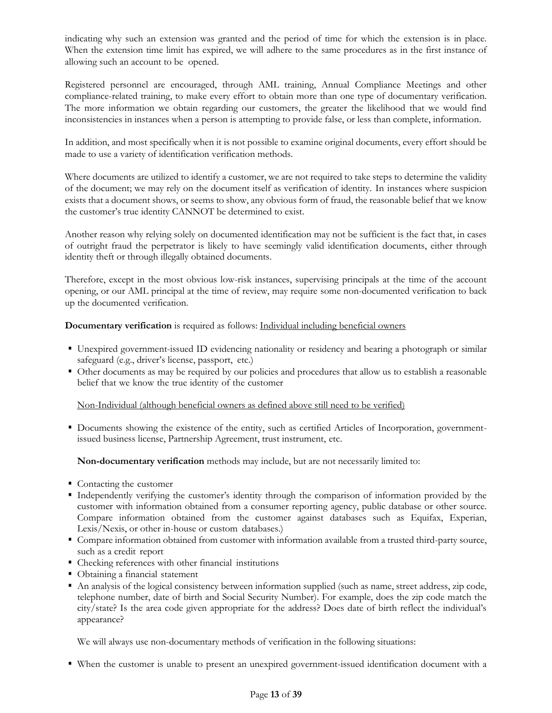indicating why such an extension was granted and the period of time for which the extension is in place. When the extension time limit has expired, we will adhere to the same procedures as in the first instance of allowing such an account to be opened.

Registered personnel are encouraged, through AML training, Annual Compliance Meetings and other compliance-related training, to make every effort to obtain more than one type of documentary verification. The more information we obtain regarding our customers, the greater the likelihood that we would find inconsistencies in instances when a person is attempting to provide false, or less than complete, information.

In addition, and most specifically when it is not possible to examine original documents, every effort should be made to use a variety of identification verification methods.

Where documents are utilized to identify a customer, we are not required to take steps to determine the validity of the document; we may rely on the document itself as verification of identity. In instances where suspicion exists that a document shows, or seems to show, any obvious form of fraud, the reasonable belief that we know the customer's true identity CANNOT be determined to exist.

Another reason why relying solely on documented identification may not be sufficient is the fact that, in cases of outright fraud the perpetrator is likely to have seemingly valid identification documents, either through identity theft or through illegally obtained documents.

Therefore, except in the most obvious low-risk instances, supervising principals at the time of the account opening, or our AML principal at the time of review, may require some non-documented verification to back up the documented verification.

# **Documentary verification** is required as follows: Individual including beneficial owners

- Unexpired government-issued ID evidencing nationality or residency and bearing a photograph or similar safeguard (e.g., driver's license, passport, etc.)
- Other documents as may be required by our policies and procedures that allow us to establish a reasonable belief that we know the true identity of the customer

# Non-Individual (although beneficial owners as defined above still need to be verified)

 Documents showing the existence of the entity, such as certified Articles of Incorporation, governmentissued business license, Partnership Agreement, trust instrument, etc.

**Non-documentary verification** methods may include, but are not necessarily limited to:

- Contacting the customer
- Independently verifying the customer's identity through the comparison of information provided by the customer with information obtained from a consumer reporting agency, public database or other source. Compare information obtained from the customer against databases such as Equifax, Experian, Lexis/Nexis, or other in-house or custom databases.)
- Compare information obtained from customer with information available from a trusted third-party source, such as a credit report
- Checking references with other financial institutions
- Obtaining a financial statement
- An analysis of the logical consistency between information supplied (such as name, street address, zip code, telephone number, date of birth and Social Security Number). For example, does the zip code match the city/state? Is the area code given appropriate for the address? Does date of birth reflect the individual's appearance?

We will always use non-documentary methods of verification in the following situations:

When the customer is unable to present an unexpired government-issued identification document with a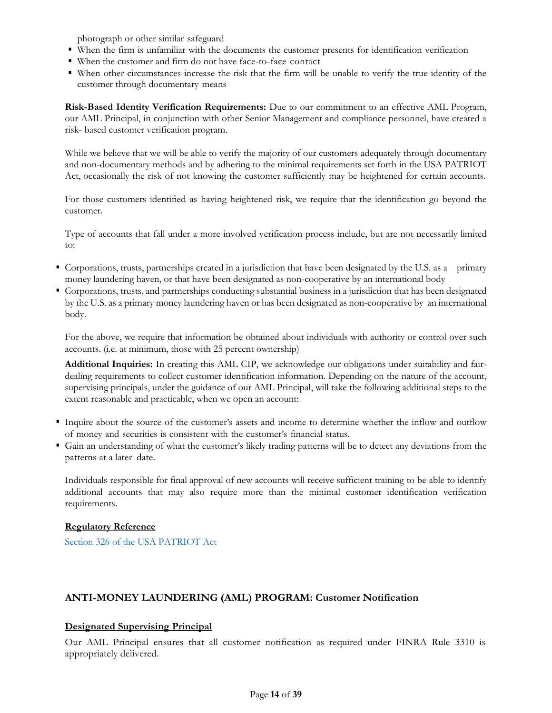photograph or other similar safeguard

- When the firm is unfamiliar with the documents the customer presents for identification verification
- When the customer and firm do not have face-to-face contact
- When other circumstances increase the risk that the firm will be unable to verify the true identity of the customer through documentary means

**Risk-Based Identity Verification Requirements:** Due to our commitment to an effective AML Program, our AML Principal, in conjunction with other Senior Management and compliance personnel, have created a risk- based customer verification program.

While we believe that we will be able to verify the majority of our customers adequately through documentary and non-documentary methods and by adhering to the minimal requirements set forth in the USA PATRIOT Act, occasionally the risk of not knowing the customer sufficiently may be heightened for certain accounts.

For those customers identified as having heightened risk, we require that the identification go beyond the customer.

Type of accounts that fall under a more involved verification process include, but are not necessarily limited to:

- Corporations, trusts, partnerships created in a jurisdiction that have been designated by the U.S. as a primary money laundering haven, or that have been designated as non-cooperative by an international body
- Corporations, trusts, and partnerships conducting substantial business in a jurisdiction that has been designated by the U.S. as a primary money laundering haven or has been designated as non-cooperative by an international body.

For the above, we require that information be obtained about individuals with authority or control over such accounts. (i.e. at minimum, those with 25 percent ownership)

**Additional Inquiries:** In creating this AML CIP, we acknowledge our obligations under suitability and fairdealing requirements to collect customer identification information. Depending on the nature of the account, supervising principals, under the guidance of our AML Principal, will take the following additional steps to the extent reasonable and practicable, when we open an account:

- Inquire about the source of the customer's assets and income to determine whether the inflow and outflow of money and securities is consistent with the customer's financial status.
- Gain an understanding of what the customer's likely trading patterns will be to detect any deviations from the patterns at a later date.

Individuals responsible for final approval of new accounts will receive sufficient training to be able to identify additional accounts that may also require more than the minimal customer identification verification requirements.

# **Regulatory Reference**

Section 326 of the USA PATRIOT Act

# **ANTI-MONEY LAUNDERING (AML) PROGRAM: Customer Notification**

# **Designated Supervising Principal**

Our AML Principal ensures that all customer notification as required under FINRA Rule 3310 is appropriately delivered.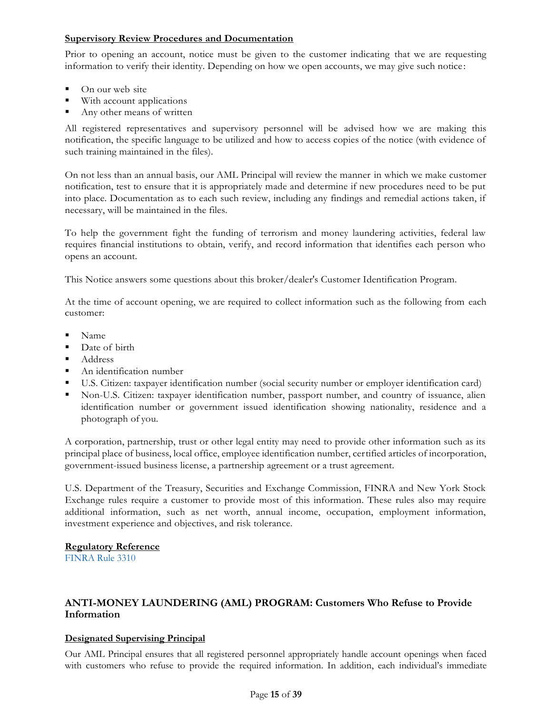# **Supervisory Review Procedures and Documentation**

Prior to opening an account, notice must be given to the customer indicating that we are requesting information to verify their identity. Depending on how we open accounts, we may give such notice :

- On our web site
- With account applications
- Any other means of written

All registered representatives and supervisory personnel will be advised how we are making this notification, the specific language to be utilized and how to access copies of the notice (with evidence of such training maintained in the files).

On not less than an annual basis, our AML Principal will review the manner in which we make customer notification, test to ensure that it is appropriately made and determine if new procedures need to be put into place. Documentation as to each such review, including any findings and remedial actions taken, if necessary, will be maintained in the files.

To help the government fight the funding of terrorism and money laundering activities, federal law requires financial institutions to obtain, verify, and record information that identifies each person who opens an account.

This Notice answers some questions about this broker/dealer's Customer Identification Program.

At the time of account opening, we are required to collect information such as the following from each customer:

- Name
- Date of birth
- Address
- An identification number
- U.S. Citizen: taxpayer identification number (social security number or employer identification card)
- Non-U.S. Citizen: taxpayer identification number, passport number, and country of issuance, alien identification number or government issued identification showing nationality, residence and a photograph of you.

A corporation, partnership, trust or other legal entity may need to provide other information such as its principal place of business, local office, employee identification number, certified articles of incorporation, government-issued business license, a partnership agreement or a trust agreement.

U.S. Department of the Treasury, Securities and Exchange Commission, FINRA and New York Stock Exchange rules require a customer to provide most of this information. These rules also may require additional information, such as net worth, annual income, occupation, employment information, investment experience and objectives, and risk tolerance.

# **Regulatory Reference**

FINRA Rule 3310

# **ANTI-MONEY LAUNDERING (AML) PROGRAM: Customers Who Refuse to Provide Information**

# **Designated Supervising Principal**

Our AML Principal ensures that all registered personnel appropriately handle account openings when faced with customers who refuse to provide the required information. In addition, each individual's immediate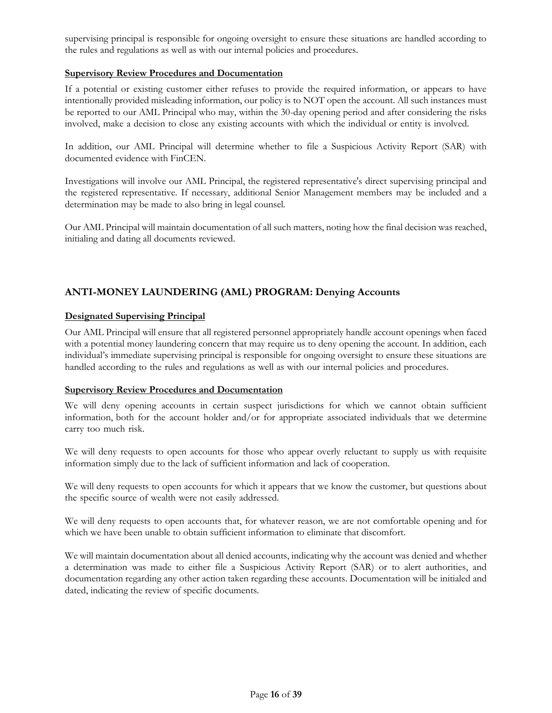supervising principal is responsible for ongoing oversight to ensure these situations are handled according to the rules and regulations as well as with our internal policies and procedures.

### **Supervisory Review Procedures and Documentation**

If a potential or existing customer either refuses to provide the required information, or appears to have intentionally provided misleading information, our policy is to NOT open the account. All such instances must be reported to our AML Principal who may, within the 30-day opening period and after considering the risks involved, make a decision to close any existing accounts with which the individual or entity is involved.

In addition, our AML Principal will determine whether to file a Suspicious Activity Report (SAR) with documented evidence with FinCEN.

Investigations will involve our AML Principal, the registered representative's direct supervising principal and the registered representative. If necessary, additional Senior Management members may be included and a determination may be made to also bring in legal counsel.

Our AML Principal will maintain documentation of all such matters, noting how the final decision was reached, initialing and dating all documents reviewed.

# **ANTI-MONEY LAUNDERING (AML) PROGRAM: Denying Accounts**

#### **Designated Supervising Principal**

Our AML Principal will ensure that all registered personnel appropriately handle account openings when faced with a potential money laundering concern that may require us to deny opening the account. In addition, each individual's immediate supervising principal is responsible for ongoing oversight to ensure these situations are handled according to the rules and regulations as well as with our internal policies and procedures.

#### **Supervisory Review Procedures and Documentation**

We will deny opening accounts in certain suspect jurisdictions for which we cannot obtain sufficient information, both for the account holder and/or for appropriate associated individuals that we determine carry too much risk.

We will deny requests to open accounts for those who appear overly reluctant to supply us with requisite information simply due to the lack of sufficient information and lack of cooperation.

We will deny requests to open accounts for which it appears that we know the customer, but questions about the specific source of wealth were not easily addressed.

We will deny requests to open accounts that, for whatever reason, we are not comfortable opening and for which we have been unable to obtain sufficient information to eliminate that discomfort.

We will maintain documentation about all denied accounts, indicating why the account was denied and whether a determination was made to either file a Suspicious Activity Report (SAR) or to alert authorities, and documentation regarding any other action taken regarding these accounts. Documentation will be initialed and dated, indicating the review of specific documents.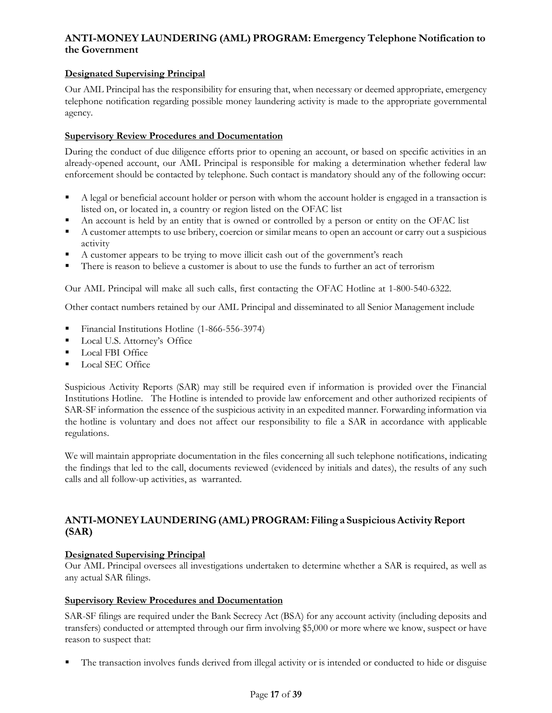# **ANTI-MONEY LAUNDERING (AML) PROGRAM: Emergency Telephone Notification to the Government**

# **Designated Supervising Principal**

Our AML Principal has the responsibility for ensuring that, when necessary or deemed appropriate, emergency telephone notification regarding possible money laundering activity is made to the appropriate governmental agency.

# **Supervisory Review Procedures and Documentation**

During the conduct of due diligence efforts prior to opening an account, or based on specific activities in an already-opened account, our AML Principal is responsible for making a determination whether federal law enforcement should be contacted by telephone. Such contact is mandatory should any of the following occur:

- A legal or beneficial account holder or person with whom the account holder is engaged in a transaction is listed on, or located in, a country or region listed on the OFAC list
- An account is held by an entity that is owned or controlled by a person or entity on the OFAC list
- A customer attempts to use bribery, coercion or similar means to open an account or carry out a suspicious activity
- A customer appears to be trying to move illicit cash out of the government's reach
- There is reason to believe a customer is about to use the funds to further an act of terrorism

Our AML Principal will make all such calls, first contacting the OFAC Hotline at 1-800-540-6322.

Other contact numbers retained by our AML Principal and disseminated to all Senior Management include

- Financial Institutions Hotline (1-866-556-3974)
- **Local U.S. Attorney's Office**
- **Local FBI Office**
- Local SEC Office

Suspicious Activity Reports (SAR) may still be required even if information is provided over the Financial Institutions Hotline. The Hotline is intended to provide law enforcement and other authorized recipients of SAR-SF information the essence of the suspicious activity in an expedited manner. Forwarding information via the hotline is voluntary and does not affect our responsibility to file a SAR in accordance with applicable regulations.

We will maintain appropriate documentation in the files concerning all such telephone notifications, indicating the findings that led to the call, documents reviewed (evidenced by initials and dates), the results of any such calls and all follow-up activities, as warranted.

# **ANTI-MONEYLAUNDERING (AML)PROGRAM:Filing a SuspiciousActivityReport (SAR)**

# **Designated Supervising Principal**

Our AML Principal oversees all investigations undertaken to determine whether a SAR is required, as well as any actual SAR filings.

# **Supervisory Review Procedures and Documentation**

SAR-SF filings are required under the Bank Secrecy Act (BSA) for any account activity (including deposits and transfers) conducted or attempted through our firm involving \$5,000 or more where we know, suspect or have reason to suspect that:

The transaction involves funds derived from illegal activity or is intended or conducted to hide or disguise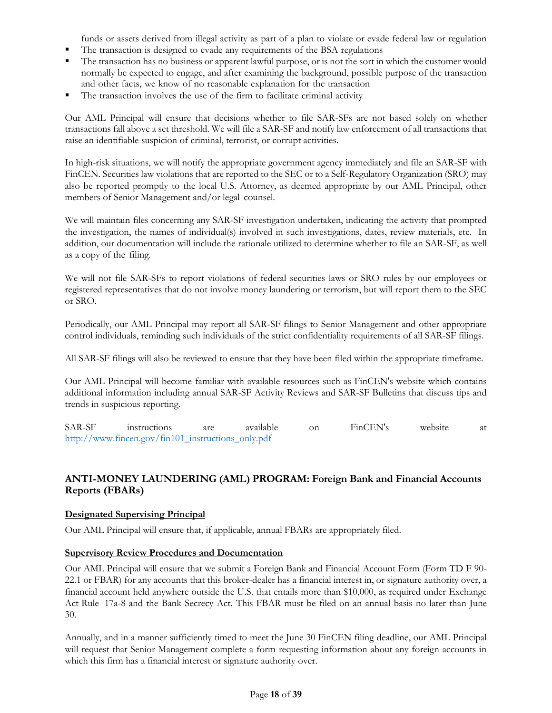funds or assets derived from illegal activity as part of a plan to violate or evade federal law or regulation

- The transaction is designed to evade any requirements of the BSA regulations
- The transaction has no business or apparent lawful purpose, or is not the sort in which the customer would normally be expected to engage, and after examining the background, possible purpose of the transaction and other facts, we know of no reasonable explanation for the transaction
- The transaction involves the use of the firm to facilitate criminal activity

Our AML Principal will ensure that decisions whether to file SAR-SFs are not based solely on whether transactions fall above a set threshold. We will file a SAR-SF and notify law enforcement of all transactions that raise an identifiable suspicion of criminal, terrorist, or corrupt activities.

In high-risk situations, we will notify the appropriate government agency immediately and file an SAR-SF with FinCEN. Securities law violations that are reported to the SEC or to a Self-Regulatory Organization (SRO) may also be reported promptly to the local U.S. Attorney, as deemed appropriate by our AML Principal, other members of Senior Management and/or legal counsel.

We will maintain files concerning any SAR-SF investigation undertaken, indicating the activity that prompted the investigation, the names of individual(s) involved in such investigations, dates, review materials, etc. In addition, our documentation will include the rationale utilized to determine whether to file an SAR-SF, as well as a copy of the filing.

We will not file SAR-SFs to report violations of federal securities laws or SRO rules by our employees or registered representatives that do not involve money laundering or terrorism, but will report them to the SEC or SRO.

Periodically, our AML Principal may report all SAR-SF filings to Senior Management and other appropriate control individuals, reminding such individuals of the strict confidentiality requirements of all SAR-SF filings.

All SAR-SF filings will also be reviewed to ensure that they have been filed within the appropriate timeframe.

Our AML Principal will become familiar with available resources such as FinCEN's website which contains additional information including annual SAR-SF Activity Reviews and SAR-SF Bulletins that discuss tips and trends in suspicious reporting.

SAR-SF instructions are available on FinCEN's website at [http://www.fincen.gov/fin101\\_instructions\\_only.pdf](http://www.fincen.gov/fin101_instructions_only.pdf)

# **ANTI-MONEY LAUNDERING (AML) PROGRAM: Foreign Bank and Financial Accounts Reports (FBARs)**

# **Designated Supervising Principal**

Our AML Principal will ensure that, if applicable, annual FBARs are appropriately filed.

# **Supervisory Review Procedures and Documentation**

Our AML Principal will ensure that we submit a Foreign Bank and Financial Account Form (Form TD F 90- 22.1 or FBAR) for any accounts that this broker-dealer has a financial interest in, or signature authority over, a financial account held anywhere outside the U.S. that entails more than \$10,000, as required under Exchange Act Rule 17a-8 and the Bank Secrecy Act. This FBAR must be filed on an annual basis no later than June 30.

Annually, and in a manner sufficiently timed to meet the June 30 FinCEN filing deadline, our AML Principal will request that Senior Management complete a form requesting information about any foreign accounts in which this firm has a financial interest or signature authority over.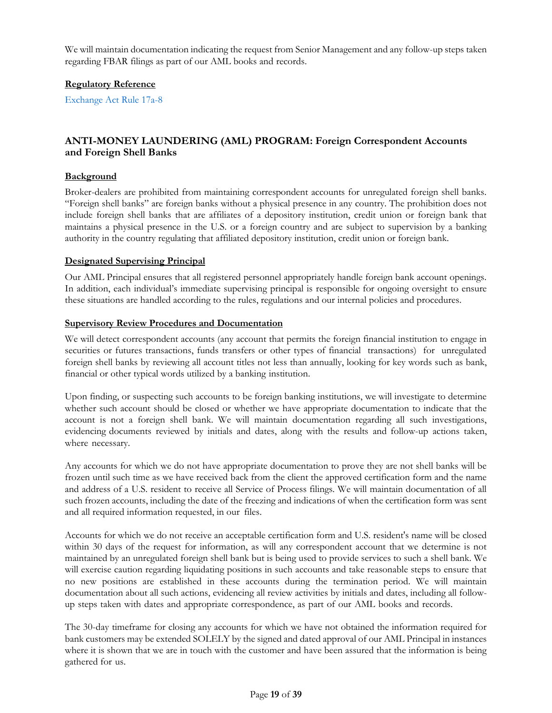We will maintain documentation indicating the request from Senior Management and any follow-up steps taken regarding FBAR filings as part of our AML books and records.

# **Regulatory Reference**

Exchange Act Rule 17a-8

# **ANTI-MONEY LAUNDERING (AML) PROGRAM: Foreign Correspondent Accounts and Foreign Shell Banks**

# **Background**

Broker-dealers are prohibited from maintaining correspondent accounts for unregulated foreign shell banks. "Foreign shell banks" are foreign banks without a physical presence in any country. The prohibition does not include foreign shell banks that are affiliates of a depository institution, credit union or foreign bank that maintains a physical presence in the U.S. or a foreign country and are subject to supervision by a banking authority in the country regulating that affiliated depository institution, credit union or foreign bank.

# **Designated Supervising Principal**

Our AML Principal ensures that all registered personnel appropriately handle foreign bank account openings. In addition, each individual's immediate supervising principal is responsible for ongoing oversight to ensure these situations are handled according to the rules, regulations and our internal policies and procedures.

#### **Supervisory Review Procedures and Documentation**

We will detect correspondent accounts (any account that permits the foreign financial institution to engage in securities or futures transactions, funds transfers or other types of financial transactions) for unregulated foreign shell banks by reviewing all account titles not less than annually, looking for key words such as bank, financial or other typical words utilized by a banking institution.

Upon finding, or suspecting such accounts to be foreign banking institutions, we will investigate to determine whether such account should be closed or whether we have appropriate documentation to indicate that the account is not a foreign shell bank. We will maintain documentation regarding all such investigations, evidencing documents reviewed by initials and dates, along with the results and follow-up actions taken, where necessary.

Any accounts for which we do not have appropriate documentation to prove they are not shell banks will be frozen until such time as we have received back from the client the approved certification form and the name and address of a U.S. resident to receive all Service of Process filings. We will maintain documentation of all such frozen accounts, including the date of the freezing and indications of when the certification form was sent and all required information requested, in our files.

Accounts for which we do not receive an acceptable certification form and U.S. resident's name will be closed within 30 days of the request for information, as will any correspondent account that we determine is not maintained by an unregulated foreign shell bank but is being used to provide services to such a shell bank. We will exercise caution regarding liquidating positions in such accounts and take reasonable steps to ensure that no new positions are established in these accounts during the termination period. We will maintain documentation about all such actions, evidencing all review activities by initials and dates, including all followup steps taken with dates and appropriate correspondence, as part of our AML books and records.

The 30-day timeframe for closing any accounts for which we have not obtained the information required for bank customers may be extended SOLELY by the signed and dated approval of our AML Principal in instances where it is shown that we are in touch with the customer and have been assured that the information is being gathered for us.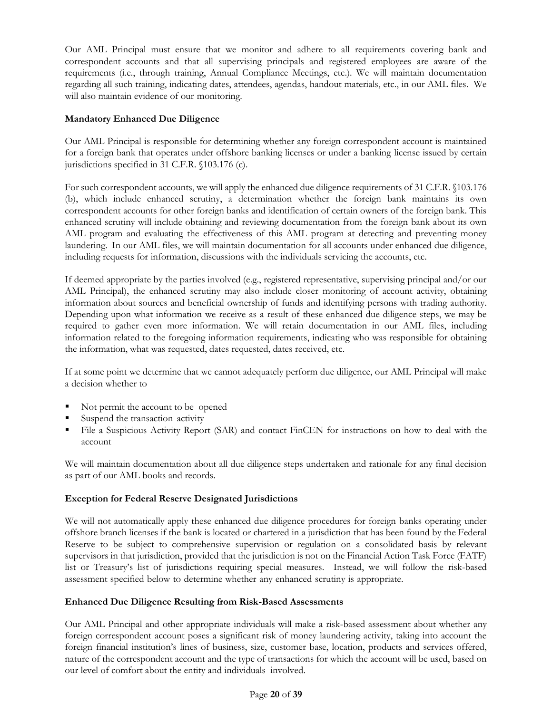Our AML Principal must ensure that we monitor and adhere to all requirements covering bank and correspondent accounts and that all supervising principals and registered employees are aware of the requirements (i.e., through training, Annual Compliance Meetings, etc.). We will maintain documentation regarding all such training, indicating dates, attendees, agendas, handout materials, etc., in our AML files. We will also maintain evidence of our monitoring.

# **Mandatory Enhanced Due Diligence**

Our AML Principal is responsible for determining whether any foreign correspondent account is maintained for a foreign bank that operates under offshore banking licenses or under a banking license issued by certain jurisdictions specified in 31 C.F.R. §103.176 (c).

For such correspondent accounts, we will apply the enhanced due diligence requirements of 31 C.F.R. §103.176 (b), which include enhanced scrutiny, a determination whether the foreign bank maintains its own correspondent accounts for other foreign banks and identification of certain owners of the foreign bank. This enhanced scrutiny will include obtaining and reviewing documentation from the foreign bank about its own AML program and evaluating the effectiveness of this AML program at detecting and preventing money laundering. In our AML files, we will maintain documentation for all accounts under enhanced due diligence, including requests for information, discussions with the individuals servicing the accounts, etc.

If deemed appropriate by the parties involved (e.g., registered representative, supervising principal and/or our AML Principal), the enhanced scrutiny may also include closer monitoring of account activity, obtaining information about sources and beneficial ownership of funds and identifying persons with trading authority. Depending upon what information we receive as a result of these enhanced due diligence steps, we may be required to gather even more information. We will retain documentation in our AML files, including information related to the foregoing information requirements, indicating who was responsible for obtaining the information, what was requested, dates requested, dates received, etc.

If at some point we determine that we cannot adequately perform due diligence, our AML Principal will make a decision whether to

- Not permit the account to be opened
- Suspend the transaction activity
- File a Suspicious Activity Report (SAR) and contact FinCEN for instructions on how to deal with the account

We will maintain documentation about all due diligence steps undertaken and rationale for any final decision as part of our AML books and records.

# **Exception for Federal Reserve Designated Jurisdictions**

We will not automatically apply these enhanced due diligence procedures for foreign banks operating under offshore branch licenses if the bank is located or chartered in a jurisdiction that has been found by the Federal Reserve to be subject to comprehensive supervision or regulation on a consolidated basis by relevant supervisors in that jurisdiction, provided that the jurisdiction is not on the Financial Action Task Force (FATF) list or Treasury's list of jurisdictions requiring special measures. Instead, we will follow the risk-based assessment specified below to determine whether any enhanced scrutiny is appropriate.

# **Enhanced Due Diligence Resulting from Risk-Based Assessments**

Our AML Principal and other appropriate individuals will make a risk-based assessment about whether any foreign correspondent account poses a significant risk of money laundering activity, taking into account the foreign financial institution's lines of business, size, customer base, location, products and services offered, nature of the correspondent account and the type of transactions for which the account will be used, based on our level of comfort about the entity and individuals involved.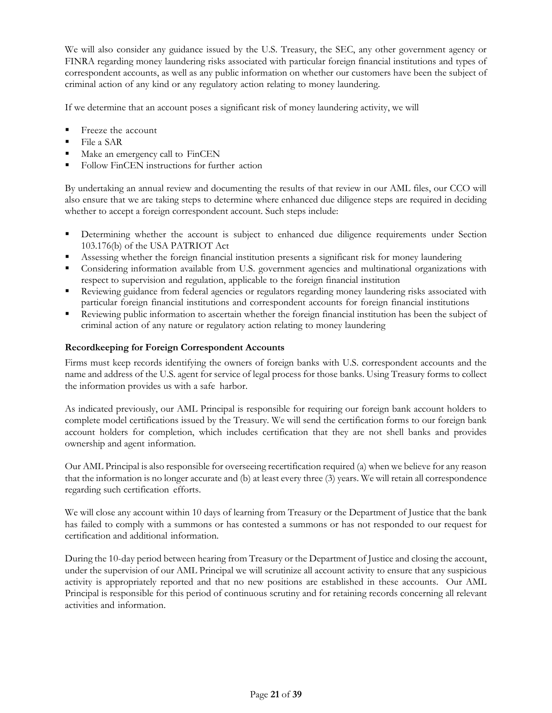We will also consider any guidance issued by the U.S. Treasury, the SEC, any other government agency or FINRA regarding money laundering risks associated with particular foreign financial institutions and types of correspondent accounts, as well as any public information on whether our customers have been the subject of criminal action of any kind or any regulatory action relating to money laundering.

If we determine that an account poses a significant risk of money laundering activity, we will

- Freeze the account
- File a SAR
- Make an emergency call to FinCEN
- Follow FinCEN instructions for further action

By undertaking an annual review and documenting the results of that review in our AML files, our CCO will also ensure that we are taking steps to determine where enhanced due diligence steps are required in deciding whether to accept a foreign correspondent account. Such steps include:

- Determining whether the account is subject to enhanced due diligence requirements under Section 103.176(b) of the USA PATRIOT Act
- Assessing whether the foreign financial institution presents a significant risk for money laundering
- Considering information available from U.S. government agencies and multinational organizations with respect to supervision and regulation, applicable to the foreign financial institution
- Reviewing guidance from federal agencies or regulators regarding money laundering risks associated with particular foreign financial institutions and correspondent accounts for foreign financial institutions
- Reviewing public information to ascertain whether the foreign financial institution has been the subject of criminal action of any nature or regulatory action relating to money laundering

#### **Recordkeeping for Foreign Correspondent Accounts**

Firms must keep records identifying the owners of foreign banks with U.S. correspondent accounts and the name and address of the U.S. agent for service of legal process for those banks. Using Treasury forms to collect the information provides us with a safe harbor.

As indicated previously, our AML Principal is responsible for requiring our foreign bank account holders to complete model certifications issued by the Treasury. We will send the certification forms to our foreign bank account holders for completion, which includes certification that they are not shell banks and provides ownership and agent information.

Our AML Principal is also responsible for overseeing recertification required (a) when we believe for any reason that the information is no longer accurate and (b) at least every three (3) years. We will retain all correspondence regarding such certification efforts.

We will close any account within 10 days of learning from Treasury or the Department of Justice that the bank has failed to comply with a summons or has contested a summons or has not responded to our request for certification and additional information.

During the 10-day period between hearing from Treasury or the Department of Justice and closing the account, under the supervision of our AML Principal we will scrutinize all account activity to ensure that any suspicious activity is appropriately reported and that no new positions are established in these accounts. Our AML Principal is responsible for this period of continuous scrutiny and for retaining records concerning all relevant activities and information.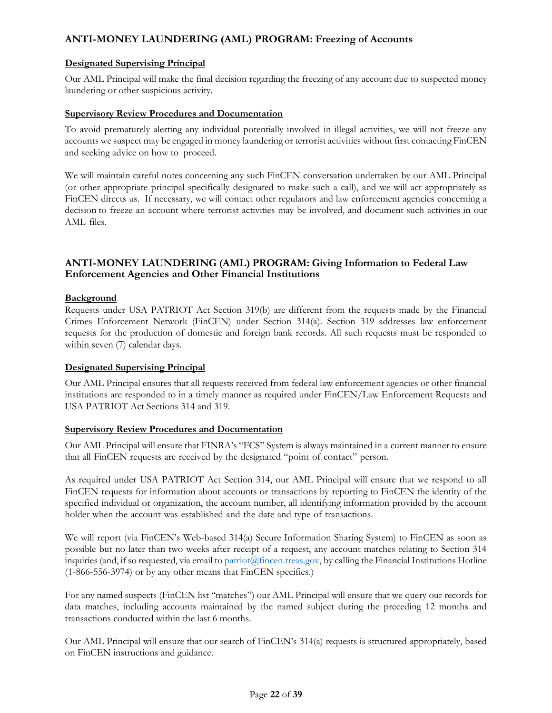# **ANTI-MONEY LAUNDERING (AML) PROGRAM: Freezing of Accounts**

### **Designated Supervising Principal**

Our AML Principal will make the final decision regarding the freezing of any account due to suspected money laundering or other suspicious activity.

### **Supervisory Review Procedures and Documentation**

To avoid prematurely alerting any individual potentially involved in illegal activities, we will not freeze any accounts we suspect may be engaged in money laundering or terrorist activities without first contacting FinCEN and seeking advice on how to proceed.

We will maintain careful notes concerning any such FinCEN conversation undertaken by our AML Principal (or other appropriate principal specifically designated to make such a call), and we will act appropriately as FinCEN directs us. If necessary, we will contact other regulators and law enforcement agencies concerning a decision to freeze an account where terrorist activities may be involved, and document such activities in our AML files.

# **ANTI-MONEY LAUNDERING (AML) PROGRAM: Giving Information to Federal Law Enforcement Agencies and Other Financial Institutions**

#### **Background**

Requests under USA PATRIOT Act Section 319(b) are different from the requests made by the Financial Crimes Enforcement Network (FinCEN) under Section 314(a). Section 319 addresses law enforcement requests for the production of domestic and foreign bank records. All such requests must be responded to within seven (7) calendar days.

#### **Designated Supervising Principal**

Our AML Principal ensures that all requests received from federal law enforcement agencies or other financial institutions are responded to in a timely manner as required under FinCEN/Law Enforcement Requests and USA PATRIOT Act Sections 314 and 319.

#### **Supervisory Review Procedures and Documentation**

Our AML Principal will ensure that FINRA's "FCS" System is always maintained in a current manner to ensure that all FinCEN requests are received by the designated "point of contact" person.

As required under USA PATRIOT Act Section 314, our AML Principal will ensure that we respond to all FinCEN requests for information about accounts or transactions by reporting to FinCEN the identity of the specified individual or organization, the account number, all identifying information provided by the account holder when the account was established and the date and type of transactions.

We will report (via FinCEN's Web-based 314(a) Secure Information Sharing System) to FinCEN as soon as possible but no later than two weeks after receipt of a request, any account matches relating to Section 314 inquiries (and, if so requested, via email to [patriot@fincen.treas.gov, b](mailto:patriot@fincen.treas.gov)y calling the Financial Institutions Hotline (1-866-556-3974) or by any other means that FinCEN specifies.)

For any named suspects (FinCEN list "matches") our AML Principal will ensure that we query our records for data matches, including accounts maintained by the named subject during the preceding 12 months and transactions conducted within the last 6 months.

Our AML Principal will ensure that our search of FinCEN's 314(a) requests is structured appropriately, based on FinCEN instructions and guidance.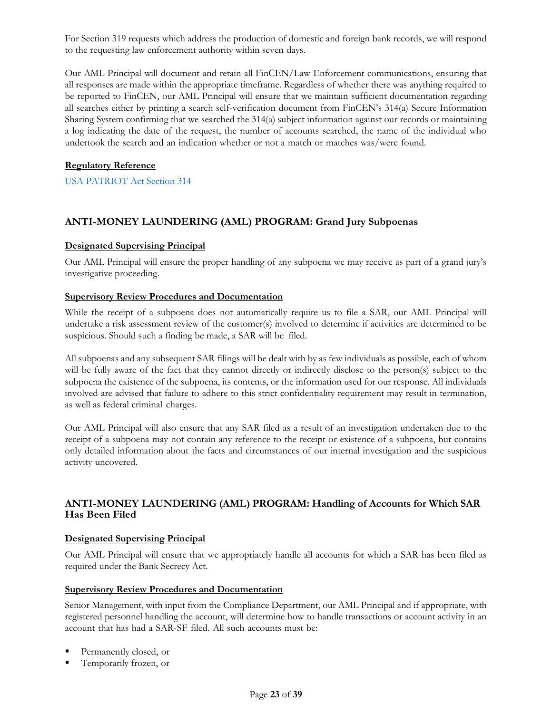For Section 319 requests which address the production of domestic and foreign bank records, we will respond to the requesting law enforcement authority within seven days.

Our AML Principal will document and retain all FinCEN/Law Enforcement communications, ensuring that all responses are made within the appropriate timeframe. Regardless of whether there was anything required to be reported to FinCEN, our AML Principal will ensure that we maintain sufficient documentation regarding all searches either by printing a search self-verification document from FinCEN's 314(a) Secure Information Sharing System confirming that we searched the 314(a) subject information against our records or maintaining a log indicating the date of the request, the number of accounts searched, the name of the individual who undertook the search and an indication whether or not a match or matches was/were found.

# **Regulatory Reference**

USA PATRIOT Act Section 314

# **ANTI-MONEY LAUNDERING (AML) PROGRAM: Grand Jury Subpoenas**

# **Designated Supervising Principal**

Our AML Principal will ensure the proper handling of any subpoena we may receive as part of a grand jury's investigative proceeding.

# **Supervisory Review Procedures and Documentation**

While the receipt of a subpoena does not automatically require us to file a SAR, our AML Principal will undertake a risk assessment review of the customer(s) involved to determine if activities are determined to be suspicious. Should such a finding be made, a SAR will be filed.

All subpoenas and any subsequent SAR filings will be dealt with by as few individuals as possible, each of whom will be fully aware of the fact that they cannot directly or indirectly disclose to the person(s) subject to the subpoena the existence of the subpoena, its contents, or the information used for our response. All individuals involved are advised that failure to adhere to this strict confidentiality requirement may result in termination, as well as federal criminal charges.

Our AML Principal will also ensure that any SAR filed as a result of an investigation undertaken due to the receipt of a subpoena may not contain any reference to the receipt or existence of a subpoena, but contains only detailed information about the facts and circumstances of our internal investigation and the suspicious activity uncovered.

# **ANTI-MONEY LAUNDERING (AML) PROGRAM: Handling of Accounts for Which SAR Has Been Filed**

# **Designated Supervising Principal**

Our AML Principal will ensure that we appropriately handle all accounts for which a SAR has been filed as required under the Bank Secrecy Act.

# **Supervisory Review Procedures and Documentation**

Senior Management, with input from the Compliance Department, our AML Principal and if appropriate, with registered personnel handling the account, will determine how to handle transactions or account activity in an account that has had a SAR-SF filed. All such accounts must be:

- Permanently closed, or
- Temporarily frozen, or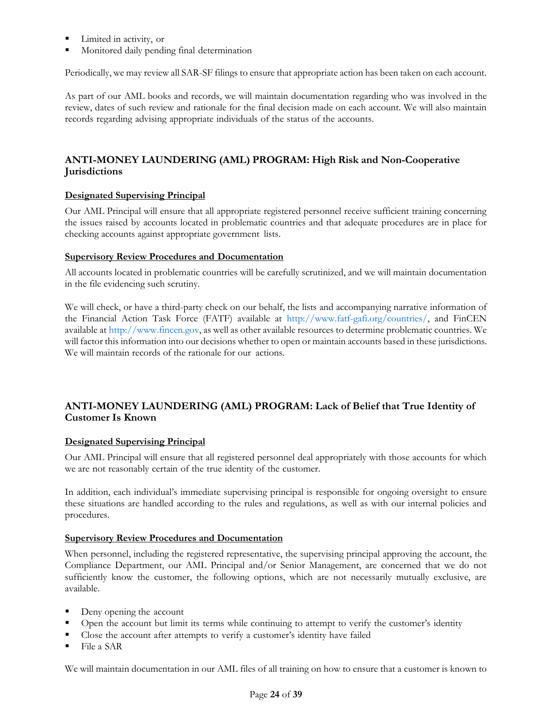- Limited in activity, or
- Monitored daily pending final determination

Periodically, we may review all SAR-SF filings to ensure that appropriate action has been taken on each account.

As part of our AML books and records, we will maintain documentation regarding who was involved in the review, dates of such review and rationale for the final decision made on each account. We will also maintain records regarding advising appropriate individuals of the status of the accounts.

# **ANTI-MONEY LAUNDERING (AML) PROGRAM: High Risk and Non-Cooperative Jurisdictions**

# **Designated Supervising Principal**

Our AML Principal will ensure that all appropriate registered personnel receive sufficient training concerning the issues raised by accounts located in problematic countries and that adequate procedures are in place for checking accounts against appropriate government lists.

#### **Supervisory Review Procedures and Documentation**

All accounts located in problematic countries will be carefully scrutinized, and we will maintain documentation in the file evidencing such scrutiny.

We will check, or have a third-party check on our behalf, the lists and accompanying narrative information of the Financial Action Task Force (FATF) available at [http://www.fatf-gafi.org/countries/, a](http://www.fatf-gafi.org/countries/)nd FinCEN available at [http://www.fincen.gov, a](http://www.fincen.gov/)s well as other available resources to determine problematic countries. We will factor this information into our decisions whether to open or maintain accounts based in these jurisdictions. We will maintain records of the rationale for our actions.

# **ANTI-MONEY LAUNDERING (AML) PROGRAM: Lack of Belief that True Identity of Customer Is Known**

# **Designated Supervising Principal**

Our AML Principal will ensure that all registered personnel deal appropriately with those accounts for which we are not reasonably certain of the true identity of the customer.

In addition, each individual's immediate supervising principal is responsible for ongoing oversight to ensure these situations are handled according to the rules and regulations, as well as with our internal policies and procedures.

#### **Supervisory Review Procedures and Documentation**

When personnel, including the registered representative, the supervising principal approving the account, the Compliance Department, our AML Principal and/or Senior Management, are concerned that we do not sufficiently know the customer, the following options, which are not necessarily mutually exclusive, are available.

- Deny opening the account
- Open the account but limit its terms while continuing to attempt to verify the customer's identity
- Close the account after attempts to verify a customer's identity have failed
- $\blacksquare$  File a SAR

We will maintain documentation in our AML files of all training on how to ensure that a customer is known to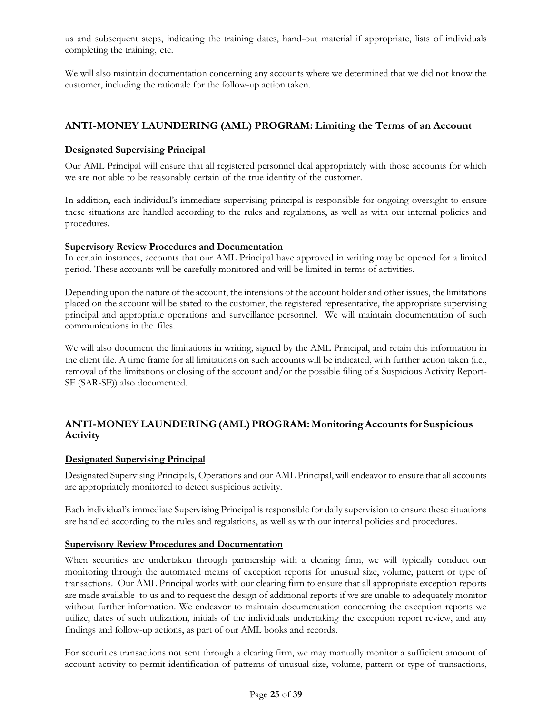us and subsequent steps, indicating the training dates, hand-out material if appropriate, lists of individuals completing the training, etc.

We will also maintain documentation concerning any accounts where we determined that we did not know the customer, including the rationale for the follow-up action taken.

# **ANTI-MONEY LAUNDERING (AML) PROGRAM: Limiting the Terms of an Account**

### **Designated Supervising Principal**

Our AML Principal will ensure that all registered personnel deal appropriately with those accounts for which we are not able to be reasonably certain of the true identity of the customer.

In addition, each individual's immediate supervising principal is responsible for ongoing oversight to ensure these situations are handled according to the rules and regulations, as well as with our internal policies and procedures.

#### **Supervisory Review Procedures and Documentation**

In certain instances, accounts that our AML Principal have approved in writing may be opened for a limited period. These accounts will be carefully monitored and will be limited in terms of activities.

Depending upon the nature of the account, the intensions of the account holder and other issues, the limitations placed on the account will be stated to the customer, the registered representative, the appropriate supervising principal and appropriate operations and surveillance personnel. We will maintain documentation of such communications in the files.

We will also document the limitations in writing, signed by the AML Principal, and retain this information in the client file. A time frame for all limitations on such accounts will be indicated, with further action taken (i.e., removal of the limitations or closing of the account and/or the possible filing of a Suspicious Activity Report-SF (SAR-SF)) also documented.

# **ANTI-MONEYLAUNDERING (AML)PROGRAM: MonitoringAccounts for Suspicious Activity**

# **Designated Supervising Principal**

Designated Supervising Principals, Operations and our AML Principal, will endeavor to ensure that all accounts are appropriately monitored to detect suspicious activity.

Each individual's immediate Supervising Principal is responsible for daily supervision to ensure these situations are handled according to the rules and regulations, as well as with our internal policies and procedures.

# **Supervisory Review Procedures and Documentation**

When securities are undertaken through partnership with a clearing firm, we will typically conduct our monitoring through the automated means of exception reports for unusual size, volume, pattern or type of transactions. Our AML Principal works with our clearing firm to ensure that all appropriate exception reports are made available to us and to request the design of additional reports if we are unable to adequately monitor without further information. We endeavor to maintain documentation concerning the exception reports we utilize, dates of such utilization, initials of the individuals undertaking the exception report review, and any findings and follow-up actions, as part of our AML books and records.

For securities transactions not sent through a clearing firm, we may manually monitor a sufficient amount of account activity to permit identification of patterns of unusual size, volume, pattern or type of transactions,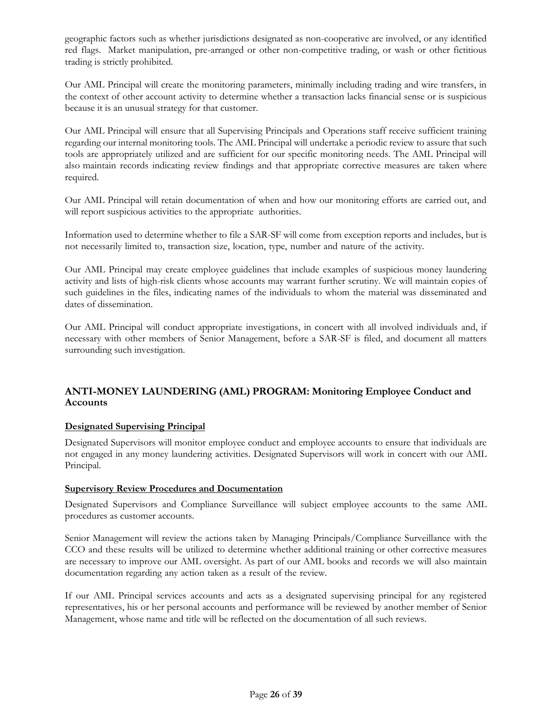geographic factors such as whether jurisdictions designated as non-cooperative are involved, or any identified red flags. Market manipulation, pre-arranged or other non-competitive trading, or wash or other fictitious trading is strictly prohibited.

Our AML Principal will create the monitoring parameters, minimally including trading and wire transfers, in the context of other account activity to determine whether a transaction lacks financial sense or is suspicious because it is an unusual strategy for that customer.

Our AML Principal will ensure that all Supervising Principals and Operations staff receive sufficient training regarding our internal monitoring tools. The AML Principal will undertake a periodic review to assure that such tools are appropriately utilized and are sufficient for our specific monitoring needs. The AML Principal will also maintain records indicating review findings and that appropriate corrective measures are taken where required.

Our AML Principal will retain documentation of when and how our monitoring efforts are carried out, and will report suspicious activities to the appropriate authorities.

Information used to determine whether to file a SAR-SF will come from exception reports and includes, but is not necessarily limited to, transaction size, location, type, number and nature of the activity.

Our AML Principal may create employee guidelines that include examples of suspicious money laundering activity and lists of high-risk clients whose accounts may warrant further scrutiny. We will maintain copies of such guidelines in the files, indicating names of the individuals to whom the material was disseminated and dates of dissemination.

Our AML Principal will conduct appropriate investigations, in concert with all involved individuals and, if necessary with other members of Senior Management, before a SAR-SF is filed, and document all matters surrounding such investigation.

# **ANTI-MONEY LAUNDERING (AML) PROGRAM: Monitoring Employee Conduct and Accounts**

# **Designated Supervising Principal**

Designated Supervisors will monitor employee conduct and employee accounts to ensure that individuals are not engaged in any money laundering activities. Designated Supervisors will work in concert with our AML Principal.

# **Supervisory Review Procedures and Documentation**

Designated Supervisors and Compliance Surveillance will subject employee accounts to the same AML procedures as customer accounts.

Senior Management will review the actions taken by Managing Principals/Compliance Surveillance with the CCO and these results will be utilized to determine whether additional training or other corrective measures are necessary to improve our AML oversight. As part of our AML books and records we will also maintain documentation regarding any action taken as a result of the review.

If our AML Principal services accounts and acts as a designated supervising principal for any registered representatives, his or her personal accounts and performance will be reviewed by another member of Senior Management, whose name and title will be reflected on the documentation of all such reviews.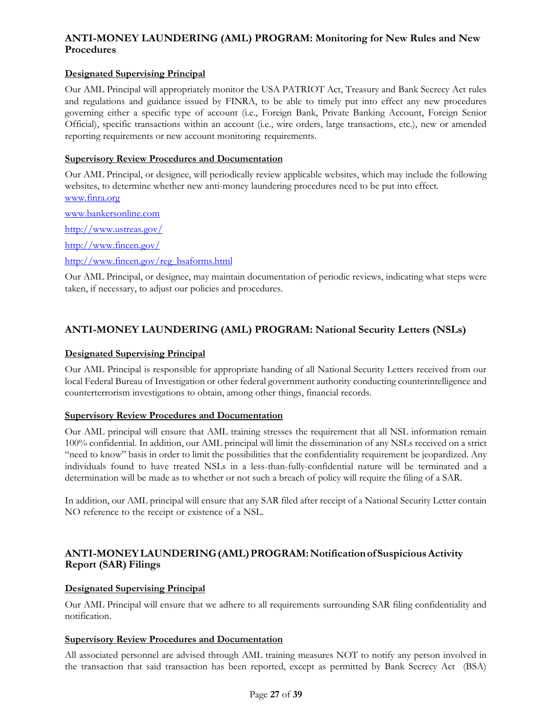# **ANTI-MONEY LAUNDERING (AML) PROGRAM: Monitoring for New Rules and New Procedures**

# **Designated Supervising Principal**

Our AML Principal will appropriately monitor the USA PATRIOT Act, Treasury and Bank Secrecy Act rules and regulations and guidance issued by FINRA, to be able to timely put into effect any new procedures governing either a specific type of account (i.e., Foreign Bank, Private Banking Account, Foreign Senior Official), specific transactions within an account (i.e., wire orders, large transactions, etc.), new or amended reporting requirements or new account monitoring requirements.

# **Supervisory Review Procedures and Documentation**

Our AML Principal, or designee, will periodically review applicable websites, which may include the following websites, to determine whether new anti-money laundering procedures need to be put into effect. [www.finra.org](http://www.finra.org/)

[www.bankersonline.com](http://www.bankersonline.com/) <http://www.ustreas.gov/> <http://www.fincen.gov/> [http://www.fincen.gov/reg\\_bsaforms.html](http://www.fincen.gov/reg_bsaforms.html)

Our AML Principal, or designee, may maintain documentation of periodic reviews, indicating what steps were taken, if necessary, to adjust our policies and procedures.

# **ANTI-MONEY LAUNDERING (AML) PROGRAM: National Security Letters (NSLs)**

# **Designated Supervising Principal**

Our AML Principal is responsible for appropriate handing of all National Security Letters received from our local Federal Bureau of Investigation or other federal government authority conducting counterintelligence and counterterrorism investigations to obtain, among other things, financial records.

# **Supervisory Review Procedures and Documentation**

Our AML principal will ensure that AML training stresses the requirement that all NSL information remain 100% confidential. In addition, our AML principal will limit the dissemination of any NSLs received on a strict "need to know" basis in order to limit the possibilities that the confidentiality requirement be jeopardized. Any individuals found to have treated NSLs in a less-than-fully-confidential nature will be terminated and a determination will be made as to whether or not such a breach of policy will require the filing of a SAR.

In addition, our AML principal will ensure that any SAR filed after receipt of a National Security Letter contain NO reference to the receipt or existence of a NSL.

# **ANTI-MONEYLAUNDERING(AML)PROGRAM:Notificationof SuspiciousActivity Report (SAR) Filings**

# **Designated Supervising Principal**

Our AML Principal will ensure that we adhere to all requirements surrounding SAR filing confidentiality and notification.

# **Supervisory Review Procedures and Documentation**

All associated personnel are advised through AML training measures NOT to notify any person involved in the transaction that said transaction has been reported, except as permitted by Bank Secrecy Act (BSA)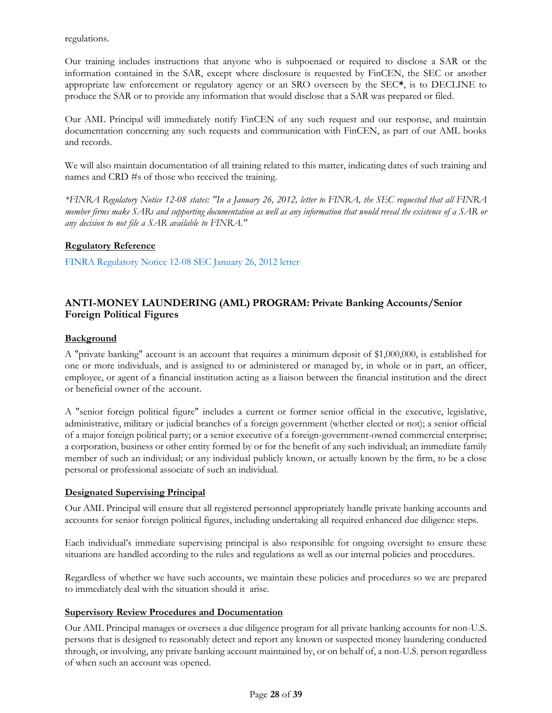regulations.

Our training includes instructions that anyone who is subpoenaed or required to disclose a SAR or the information contained in the SAR, except where disclosure is requested by FinCEN, the SEC or another appropriate law enforcement or regulatory agency or an SRO overseen by the SEC**\***, is to DECLINE to produce the SAR or to provide any information that would disclose that a SAR was prepared or filed.

Our AML Principal will immediately notify FinCEN of any such request and our response, and maintain documentation concerning any such requests and communication with FinCEN, as part of our AML books and records.

We will also maintain documentation of all training related to this matter, indicating dates of such training and names and CRD #s of those who received the training.

*\*FINRA Regulatory Notice 12-08 states: "In a January 26, 2012, letter to FINRA, the SEC requested that all FINRA member firms make SARs and supporting documentation as well as any information that would reveal the existence of a SAR or any decision to not file a SAR available to FINRA."*

# **Regulatory Reference**

FINRA Regulatory Notice 12-08 SEC January 26, 2012 letter

# **ANTI-MONEY LAUNDERING (AML) PROGRAM: Private Banking Accounts/Senior Foreign Political Figures**

# **Background**

A "private banking" account is an account that requires a minimum deposit of \$1,000,000, is established for one or more individuals, and is assigned to or administered or managed by, in whole or in part, an officer, employee, or agent of a financial institution acting as a liaison between the financial institution and the direct or beneficial owner of the account.

A "senior foreign political figure" includes a current or former senior official in the executive, legislative, administrative, military or judicial branches of a foreign government (whether elected or not); a senior official of a major foreign political party; or a senior executive of a foreign-government-owned commercial enterprise; a corporation, business or other entity formed by or for the benefit of any such individual; an immediate family member of such an individual; or any individual publicly known, or actually known by the firm, to be a close personal or professional associate of such an individual.

# **Designated Supervising Principal**

Our AML Principal will ensure that all registered personnel appropriately handle private banking accounts and accounts for senior foreign political figures, including undertaking all required enhanced due diligence steps.

Each individual's immediate supervising principal is also responsible for ongoing oversight to ensure these situations are handled according to the rules and regulations as well as our internal policies and procedures.

Regardless of whether we have such accounts, we maintain these policies and procedures so we are prepared to immediately deal with the situation should it arise.

# **Supervisory Review Procedures and Documentation**

Our AML Principal manages or oversees a due diligence program for all private banking accounts for non-U.S. persons that is designed to reasonably detect and report any known or suspected money laundering conducted through, or involving, any private banking account maintained by, or on behalf of, a non-U.S. person regardless of when such an account was opened.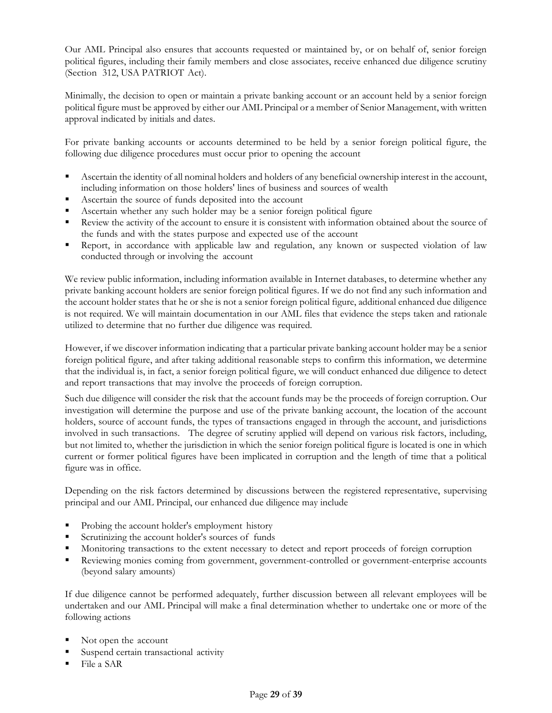Our AML Principal also ensures that accounts requested or maintained by, or on behalf of, senior foreign political figures, including their family members and close associates, receive enhanced due diligence scrutiny (Section 312, USA PATRIOT Act).

Minimally, the decision to open or maintain a private banking account or an account held by a senior foreign political figure must be approved by either our AML Principal or a member of Senior Management, with written approval indicated by initials and dates.

For private banking accounts or accounts determined to be held by a senior foreign political figure, the following due diligence procedures must occur prior to opening the account

- Ascertain the identity of all nominal holders and holders of any beneficial ownership interest in the account, including information on those holders' lines of business and sources of wealth
- Ascertain the source of funds deposited into the account
- Ascertain whether any such holder may be a senior foreign political figure
- Review the activity of the account to ensure it is consistent with information obtained about the source of the funds and with the states purpose and expected use of the account
- Report, in accordance with applicable law and regulation, any known or suspected violation of law conducted through or involving the account

We review public information, including information available in Internet databases, to determine whether any private banking account holders are senior foreign political figures. If we do not find any such information and the account holder states that he or she is not a senior foreign political figure, additional enhanced due diligence is not required. We will maintain documentation in our AML files that evidence the steps taken and rationale utilized to determine that no further due diligence was required.

However, if we discover information indicating that a particular private banking account holder may be a senior foreign political figure, and after taking additional reasonable steps to confirm this information, we determine that the individual is, in fact, a senior foreign political figure, we will conduct enhanced due diligence to detect and report transactions that may involve the proceeds of foreign corruption.

Such due diligence will consider the risk that the account funds may be the proceeds of foreign corruption. Our investigation will determine the purpose and use of the private banking account, the location of the account holders, source of account funds, the types of transactions engaged in through the account, and jurisdictions involved in such transactions. The degree of scrutiny applied will depend on various risk factors, including, but not limited to, whether the jurisdiction in which the senior foreign political figure is located is one in which current or former political figures have been implicated in corruption and the length of time that a political figure was in office.

Depending on the risk factors determined by discussions between the registered representative, supervising principal and our AML Principal, our enhanced due diligence may include

- Probing the account holder's employment history
- Scrutinizing the account holder's sources of funds
- Monitoring transactions to the extent necessary to detect and report proceeds of foreign corruption
- Reviewing monies coming from government, government-controlled or government-enterprise accounts (beyond salary amounts)

If due diligence cannot be performed adequately, further discussion between all relevant employees will be undertaken and our AML Principal will make a final determination whether to undertake one or more of the following actions

- Not open the account
- Suspend certain transactional activity
- File a SAR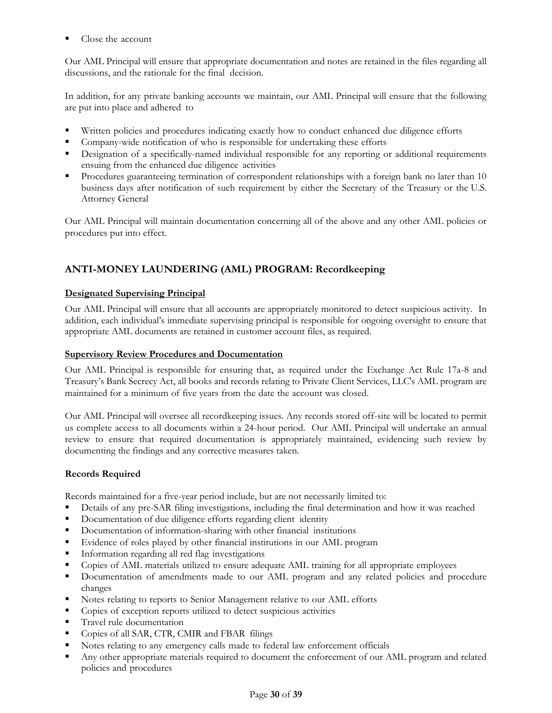Close the account

Our AML Principal will ensure that appropriate documentation and notes are retained in the files regarding all discussions, and the rationale for the final decision.

In addition, for any private banking accounts we maintain, our AML Principal will ensure that the following are put into place and adhered to

- Written policies and procedures indicating exactly how to conduct enhanced due diligence efforts
- Company-wide notification of who is responsible for undertaking these efforts
- **Designation** of a specifically-named individual responsible for any reporting or additional requirements ensuing from the enhanced due diligence activities
- Procedures guaranteeing termination of correspondent relationships with a foreign bank no later than 10 business days after notification of such requirement by either the Secretary of the Treasury or the U.S. Attorney General

Our AML Principal will maintain documentation concerning all of the above and any other AML policies or procedures put into effect.

# **ANTI-MONEY LAUNDERING (AML) PROGRAM: Recordkeeping**

# **Designated Supervising Principal**

Our AML Principal will ensure that all accounts are appropriately monitored to detect suspicious activity. In addition, each individual's immediate supervising principal is responsible for ongoing oversight to ensure that appropriate AML documents are retained in customer account files, as required.

# **Supervisory Review Procedures and Documentation**

Our AML Principal is responsible for ensuring that, as required under the Exchange Act Rule 17a-8 and Treasury's Bank Secrecy Act, all books and records relating to Private Client Services, LLC's AML program are maintained for a minimum of five years from the date the account was closed.

Our AML Principal will oversee all recordkeeping issues. Any records stored off-site will be located to permit us complete access to all documents within a 24-hour period. Our AML Principal will undertake an annual review to ensure that required documentation is appropriately maintained, evidencing such review by documenting the findings and any corrective measures taken.

# **Records Required**

Records maintained for a five-year period include, but are not necessarily limited to:

- Details of any pre-SAR filing investigations, including the final determination and how it was reached
- Documentation of due diligence efforts regarding client identity
- Documentation of information-sharing with other financial institutions
- Evidence of roles played by other financial institutions in our AML program
- **Information regarding all red flag investigations**
- **Copies of AML materials utilized to ensure adequate AML training for all appropriate employees**
- **Documentation of amendments made to our AML program and any related policies and procedure** changes
- Notes relating to reports to Senior Management relative to our AML efforts
- Copies of exception reports utilized to detect suspicious activities
- **Travel rule documentation**
- Copies of all SAR, CTR, CMIR and FBAR filings
- Notes relating to any emergency calls made to federal law enforcement officials
- Any other appropriate materials required to document the enforcement of our AML program and related policies and procedures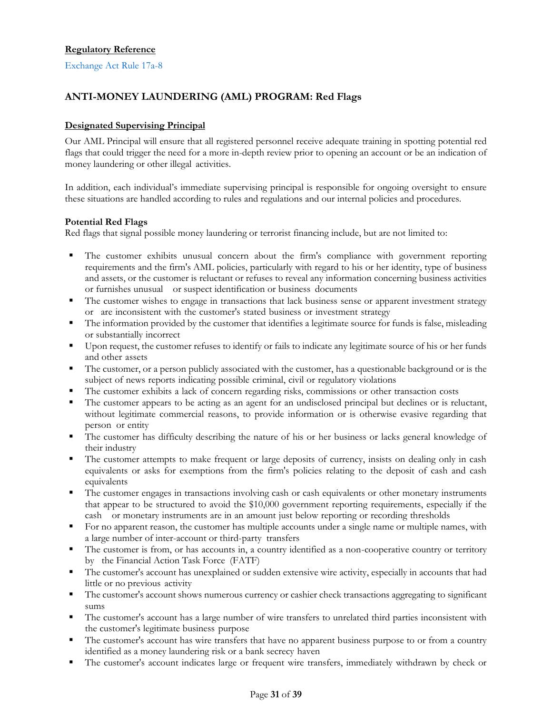Exchange Act Rule 17a-8

# **ANTI-MONEY LAUNDERING (AML) PROGRAM: Red Flags**

# **Designated Supervising Principal**

Our AML Principal will ensure that all registered personnel receive adequate training in spotting potential red flags that could trigger the need for a more in-depth review prior to opening an account or be an indication of money laundering or other illegal activities.

In addition, each individual's immediate supervising principal is responsible for ongoing oversight to ensure these situations are handled according to rules and regulations and our internal policies and procedures.

#### **Potential Red Flags**

Red flags that signal possible money laundering or terrorist financing include, but are not limited to:

- The customer exhibits unusual concern about the firm's compliance with government reporting requirements and the firm's AML policies, particularly with regard to his or her identity, type of business and assets, or the customer is reluctant or refuses to reveal any information concerning business activities or furnishes unusual or suspect identification or business documents
- The customer wishes to engage in transactions that lack business sense or apparent investment strategy or are inconsistent with the customer's stated business or investment strategy
- The information provided by the customer that identifies a legitimate source for funds is false, misleading or substantially incorrect
- Upon request, the customer refuses to identify or fails to indicate any legitimate source of his or her funds and other assets
- The customer, or a person publicly associated with the customer, has a questionable background or is the subject of news reports indicating possible criminal, civil or regulatory violations
- The customer exhibits a lack of concern regarding risks, commissions or other transaction costs
- The customer appears to be acting as an agent for an undisclosed principal but declines or is reluctant, without legitimate commercial reasons, to provide information or is otherwise evasive regarding that person or entity
- The customer has difficulty describing the nature of his or her business or lacks general knowledge of their industry
- The customer attempts to make frequent or large deposits of currency, insists on dealing only in cash equivalents or asks for exemptions from the firm's policies relating to the deposit of cash and cash equivalents
- The customer engages in transactions involving cash or cash equivalents or other monetary instruments that appear to be structured to avoid the \$10,000 government reporting requirements, especially if the cash or monetary instruments are in an amount just below reporting or recording thresholds
- For no apparent reason, the customer has multiple accounts under a single name or multiple names, with a large number of inter-account or third-party transfers
- The customer is from, or has accounts in, a country identified as a non-cooperative country or territory by the Financial Action Task Force (FATF)
- The customer's account has unexplained or sudden extensive wire activity, especially in accounts that had little or no previous activity
- The customer's account shows numerous currency or cashier check transactions aggregating to significant sums
- The customer's account has a large number of wire transfers to unrelated third parties inconsistent with the customer's legitimate business purpose
- The customer's account has wire transfers that have no apparent business purpose to or from a country identified as a money laundering risk or a bank secrecy haven
- The customer's account indicates large or frequent wire transfers, immediately withdrawn by check or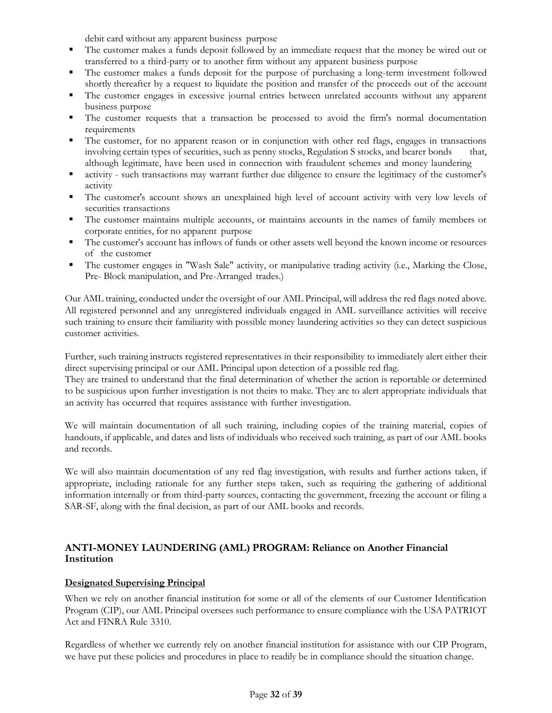debit card without any apparent business purpose

- The customer makes a funds deposit followed by an immediate request that the money be wired out or transferred to a third-party or to another firm without any apparent business purpose
- The customer makes a funds deposit for the purpose of purchasing a long-term investment followed shortly thereafter by a request to liquidate the position and transfer of the proceeds out of the account
- The customer engages in excessive journal entries between unrelated accounts without any apparent business purpose
- The customer requests that a transaction be processed to avoid the firm's normal documentation requirements
- The customer, for no apparent reason or in conjunction with other red flags, engages in transactions involving certain types of securities, such as penny stocks, Regulation S stocks, and bearer bonds that, although legitimate, have been used in connection with fraudulent schemes and money laundering
- activity such transactions may warrant further due diligence to ensure the legitimacy of the customer's activity
- The customer's account shows an unexplained high level of account activity with very low levels of securities transactions
- The customer maintains multiple accounts, or maintains accounts in the names of family members or corporate entities, for no apparent purpose
- The customer's account has inflows of funds or other assets well beyond the known income or resources of the customer
- The customer engages in "Wash Sale" activity, or manipulative trading activity (i.e., Marking the Close, Pre- Block manipulation, and Pre-Arranged trades.)

Our AML training, conducted under the oversight of our AML Principal, will address the red flags noted above. All registered personnel and any unregistered individuals engaged in AML surveillance activities will receive such training to ensure their familiarity with possible money laundering activities so they can detect suspicious customer activities.

Further, such training instructs registered representatives in their responsibility to immediately alert either their direct supervising principal or our AML Principal upon detection of a possible red flag.

They are trained to understand that the final determination of whether the action is reportable or determined to be suspicious upon further investigation is not theirs to make. They are to alert appropriate individuals that an activity has occurred that requires assistance with further investigation.

We will maintain documentation of all such training, including copies of the training material, copies of handouts, if applicable, and dates and lists of individuals who received such training, as part of our AML books and records.

We will also maintain documentation of any red flag investigation, with results and further actions taken, if appropriate, including rationale for any further steps taken, such as requiring the gathering of additional information internally or from third-party sources, contacting the government, freezing the account or filing a SAR-SF, along with the final decision, as part of our AML books and records.

# **ANTI-MONEY LAUNDERING (AML) PROGRAM: Reliance on Another Financial Institution**

# **Designated Supervising Principal**

When we rely on another financial institution for some or all of the elements of our Customer Identification Program (CIP), our AML Principal oversees such performance to ensure compliance with the USA PATRIOT Act and FINRA Rule 3310.

Regardless of whether we currently rely on another financial institution for assistance with our CIP Program, we have put these policies and procedures in place to readily be in compliance should the situation change.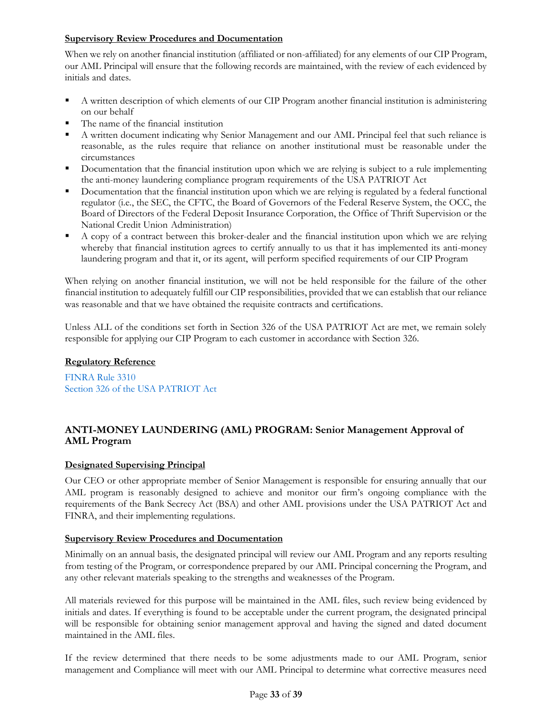# **Supervisory Review Procedures and Documentation**

When we rely on another financial institution (affiliated or non-affiliated) for any elements of our CIP Program, our AML Principal will ensure that the following records are maintained, with the review of each evidenced by initials and dates.

- A written description of which elements of our CIP Program another financial institution is administering on our behalf
- The name of the financial institution
- A written document indicating why Senior Management and our AML Principal feel that such reliance is reasonable, as the rules require that reliance on another institutional must be reasonable under the circumstances
- **Documentation that the financial institution upon which we are relying is subject to a rule implementing** the anti-money laundering compliance program requirements of the USA PATRIOT Act
- Documentation that the financial institution upon which we are relying is regulated by a federal functional regulator (i.e., the SEC, the CFTC, the Board of Governors of the Federal Reserve System, the OCC, the Board of Directors of the Federal Deposit Insurance Corporation, the Office of Thrift Supervision or the National Credit Union Administration)
- A copy of a contract between this broker-dealer and the financial institution upon which we are relying whereby that financial institution agrees to certify annually to us that it has implemented its anti-money laundering program and that it, or its agent, will perform specified requirements of our CIP Program

When relying on another financial institution, we will not be held responsible for the failure of the other financial institution to adequately fulfill our CIP responsibilities, provided that we can establish that our reliance was reasonable and that we have obtained the requisite contracts and certifications.

Unless ALL of the conditions set forth in Section 326 of the USA PATRIOT Act are met, we remain solely responsible for applying our CIP Program to each customer in accordance with Section 326.

# **Regulatory Reference**

FINRA Rule 3310 Section 326 of the USA PATRIOT Act

# **ANTI-MONEY LAUNDERING (AML) PROGRAM: Senior Management Approval of AML Program**

# **Designated Supervising Principal**

Our CEO or other appropriate member of Senior Management is responsible for ensuring annually that our AML program is reasonably designed to achieve and monitor our firm's ongoing compliance with the requirements of the Bank Secrecy Act (BSA) and other AML provisions under the USA PATRIOT Act and FINRA, and their implementing regulations.

# **Supervisory Review Procedures and Documentation**

Minimally on an annual basis, the designated principal will review our AML Program and any reports resulting from testing of the Program, or correspondence prepared by our AML Principal concerning the Program, and any other relevant materials speaking to the strengths and weaknesses of the Program.

All materials reviewed for this purpose will be maintained in the AML files, such review being evidenced by initials and dates. If everything is found to be acceptable under the current program, the designated principal will be responsible for obtaining senior management approval and having the signed and dated document maintained in the AML files.

If the review determined that there needs to be some adjustments made to our AML Program, senior management and Compliance will meet with our AML Principal to determine what corrective measures need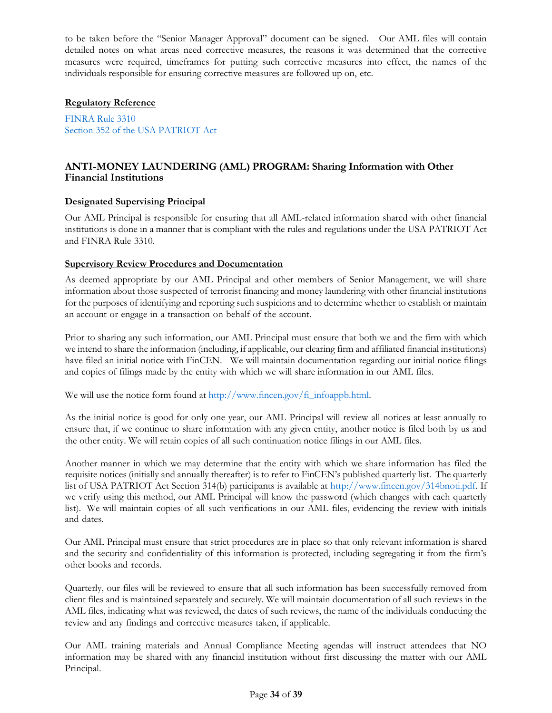to be taken before the "Senior Manager Approval" document can be signed. Our AML files will contain detailed notes on what areas need corrective measures, the reasons it was determined that the corrective measures were required, timeframes for putting such corrective measures into effect, the names of the individuals responsible for ensuring corrective measures are followed up on, etc.

#### **Regulatory Reference**

FINRA Rule 3310 Section 352 of the USA PATRIOT Act

# **ANTI-MONEY LAUNDERING (AML) PROGRAM: Sharing Information with Other Financial Institutions**

# **Designated Supervising Principal**

Our AML Principal is responsible for ensuring that all AML-related information shared with other financial institutions is done in a manner that is compliant with the rules and regulations under the USA PATRIOT Act and FINRA Rule 3310.

#### **Supervisory Review Procedures and Documentation**

As deemed appropriate by our AML Principal and other members of Senior Management, we will share information about those suspected of terrorist financing and money laundering with other financial institutions for the purposes of identifying and reporting such suspicions and to determine whether to establish or maintain an account or engage in a transaction on behalf of the account.

Prior to sharing any such information, our AML Principal must ensure that both we and the firm with which we intend to share the information (including, if applicable, our clearing firm and affiliated financial institutions) have filed an initial notice with FinCEN. We will maintain documentation regarding our initial notice filings and copies of filings made by the entity with which we will share information in our AML files.

We will use the notice form found at [http://www.fincen.gov/fi\\_infoappb.html.](http://www.fincen.gov/fi_infoappb.html)

As the initial notice is good for only one year, our AML Principal will review all notices at least annually to ensure that, if we continue to share information with any given entity, another notice is filed both by us and the other entity. We will retain copies of all such continuation notice filings in our AML files.

Another manner in which we may determine that the entity with which we share information has filed the requisite notices (initially and annually thereafter) is to refer to FinCEN's published quarterly list. The quarterly list of USA PATRIOT Act Section 314(b) participants is available at [http://www.fincen.gov/314bnoti.pdf.](http://www.fincen.gov/314bnoti.pdf) If we verify using this method, our AML Principal will know the password (which changes with each quarterly list). We will maintain copies of all such verifications in our AML files, evidencing the review with initials and dates.

Our AML Principal must ensure that strict procedures are in place so that only relevant information is shared and the security and confidentiality of this information is protected, including segregating it from the firm's other books and records.

Quarterly, our files will be reviewed to ensure that all such information has been successfully removed from client files and is maintained separately and securely. We will maintain documentation of all such reviews in the AML files, indicating what was reviewed, the dates of such reviews, the name of the individuals conducting the review and any findings and corrective measures taken, if applicable.

Our AML training materials and Annual Compliance Meeting agendas will instruct attendees that NO information may be shared with any financial institution without first discussing the matter with our AML Principal.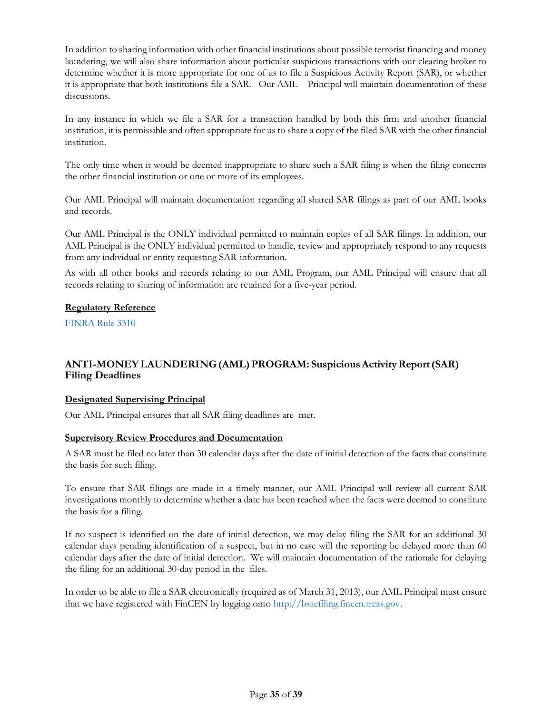In addition to sharing information with other financial institutions about possible terrorist financing and money laundering, we will also share information about particular suspicious transactions with our clearing broker to determine whether it is more appropriate for one of us to file a Suspicious Activity Report (SAR), or whether it is appropriate that both institutions file a SAR. Our AML Principal will maintain documentation of these discussions.

In any instance in which we file a SAR for a transaction handled by both this firm and another financial institution, it is permissible and often appropriate for us to share a copy of the filed SAR with the other financial institution.

The only time when it would be deemed inappropriate to share such a SAR filing is when the filing concerns the other financial institution or one or more of its employees.

Our AML Principal will maintain documentation regarding all shared SAR filings as part of our AML books and records.

Our AML Principal is the ONLY individual permitted to maintain copies of all SAR filings. In addition, our AML Principal is the ONLY individual permitted to handle, review and appropriately respond to any requests from any individual or entity requesting SAR information.

As with all other books and records relating to our AML Program, our AML Principal will ensure that all records relating to sharing of information are retained for a five-year period.

# **Regulatory Reference**

FINRA Rule 3310

# **ANTI-MONEYLAUNDERING (AML)PROGRAM: SuspiciousActivityReport(SAR) Filing Deadlines**

# **Designated Supervising Principal**

Our AML Principal ensures that all SAR filing deadlines are met.

# **Supervisory Review Procedures and Documentation**

A SAR must be filed no later than 30 calendar days after the date of initial detection of the facts that constitute the basis for such filing.

To ensure that SAR filings are made in a timely manner, our AML Principal will review all current SAR investigations monthly to determine whether a date has been reached when the facts were deemed to constitute the basis for a filing.

If no suspect is identified on the date of initial detection, we may delay filing the SAR for an additional 30 calendar days pending identification of a suspect, but in no case will the reporting be delayed more than 60 calendar days after the date of initial detection. We will maintain documentation of the rationale for delaying the filing for an additional 30-day period in the files.

In order to be able to file a SAR electronically (required as of March 31, 2013), our AML Principal must ensure that we have registered with FinCEN by logging onto [http://bsaefiling.fincen.treas.gov.](http://bsaefiling.fincen.treas.gov/)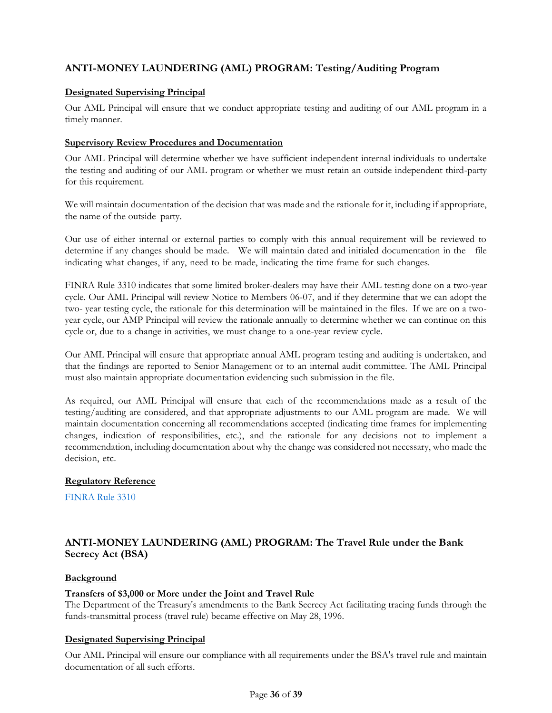# **ANTI-MONEY LAUNDERING (AML) PROGRAM: Testing/Auditing Program**

### **Designated Supervising Principal**

Our AML Principal will ensure that we conduct appropriate testing and auditing of our AML program in a timely manner.

#### **Supervisory Review Procedures and Documentation**

Our AML Principal will determine whether we have sufficient independent internal individuals to undertake the testing and auditing of our AML program or whether we must retain an outside independent third-party for this requirement.

We will maintain documentation of the decision that was made and the rationale for it, including if appropriate, the name of the outside party.

Our use of either internal or external parties to comply with this annual requirement will be reviewed to determine if any changes should be made. We will maintain dated and initialed documentation in the file indicating what changes, if any, need to be made, indicating the time frame for such changes.

FINRA Rule 3310 indicates that some limited broker-dealers may have their AML testing done on a two-year cycle. Our AML Principal will review Notice to Members 06-07, and if they determine that we can adopt the two- year testing cycle, the rationale for this determination will be maintained in the files. If we are on a twoyear cycle, our AMP Principal will review the rationale annually to determine whether we can continue on this cycle or, due to a change in activities, we must change to a one-year review cycle.

Our AML Principal will ensure that appropriate annual AML program testing and auditing is undertaken, and that the findings are reported to Senior Management or to an internal audit committee. The AML Principal must also maintain appropriate documentation evidencing such submission in the file.

As required, our AML Principal will ensure that each of the recommendations made as a result of the testing/auditing are considered, and that appropriate adjustments to our AML program are made. We will maintain documentation concerning all recommendations accepted (indicating time frames for implementing changes, indication of responsibilities, etc.), and the rationale for any decisions not to implement a recommendation, including documentation about why the change was considered not necessary, who made the decision, etc.

# **Regulatory Reference**

FINRA Rule 3310

# **ANTI-MONEY LAUNDERING (AML) PROGRAM: The Travel Rule under the Bank Secrecy Act (BSA)**

# **Background**

# **Transfers of \$3,000 or More under the Joint and Travel Rule**

The Department of the Treasury's amendments to the Bank Secrecy Act facilitating tracing funds through the funds-transmittal process (travel rule) became effective on May 28, 1996.

# **Designated Supervising Principal**

Our AML Principal will ensure our compliance with all requirements under the BSA's travel rule and maintain documentation of all such efforts.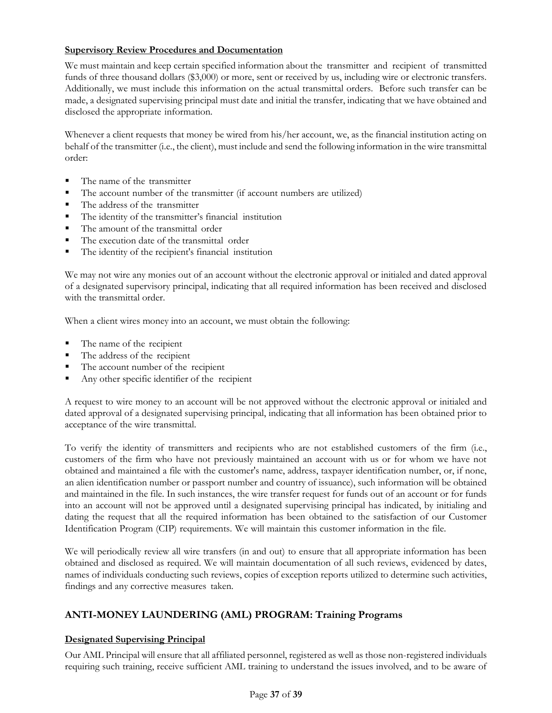# **Supervisory Review Procedures and Documentation**

We must maintain and keep certain specified information about the transmitter and recipient of transmitted funds of three thousand dollars (\$3,000) or more, sent or received by us, including wire or electronic transfers. Additionally, we must include this information on the actual transmittal orders. Before such transfer can be made, a designated supervising principal must date and initial the transfer, indicating that we have obtained and disclosed the appropriate information.

Whenever a client requests that money be wired from his/her account, we, as the financial institution acting on behalf of the transmitter (i.e., the client), must include and send the following information in the wire transmittal order:

- The name of the transmitter
- The account number of the transmitter (if account numbers are utilized)
- The address of the transmitter
- The identity of the transmitter's financial institution
- The amount of the transmittal order
- The execution date of the transmittal order
- The identity of the recipient's financial institution

We may not wire any monies out of an account without the electronic approval or initialed and dated approval of a designated supervisory principal, indicating that all required information has been received and disclosed with the transmittal order.

When a client wires money into an account, we must obtain the following:

- The name of the recipient
- The address of the recipient
- The account number of the recipient
- Any other specific identifier of the recipient

A request to wire money to an account will be not approved without the electronic approval or initialed and dated approval of a designated supervising principal, indicating that all information has been obtained prior to acceptance of the wire transmittal.

To verify the identity of transmitters and recipients who are not established customers of the firm (i.e., customers of the firm who have not previously maintained an account with us or for whom we have not obtained and maintained a file with the customer's name, address, taxpayer identification number, or, if none, an alien identification number or passport number and country of issuance), such information will be obtained and maintained in the file. In such instances, the wire transfer request for funds out of an account or for funds into an account will not be approved until a designated supervising principal has indicated, by initialing and dating the request that all the required information has been obtained to the satisfaction of our Customer Identification Program (CIP) requirements. We will maintain this customer information in the file.

We will periodically review all wire transfers (in and out) to ensure that all appropriate information has been obtained and disclosed as required. We will maintain documentation of all such reviews, evidenced by dates, names of individuals conducting such reviews, copies of exception reports utilized to determine such activities, findings and any corrective measures taken.

# **ANTI-MONEY LAUNDERING (AML) PROGRAM: Training Programs**

# **Designated Supervising Principal**

Our AML Principal will ensure that all affiliated personnel, registered as well as those non-registered individuals requiring such training, receive sufficient AML training to understand the issues involved, and to be aware of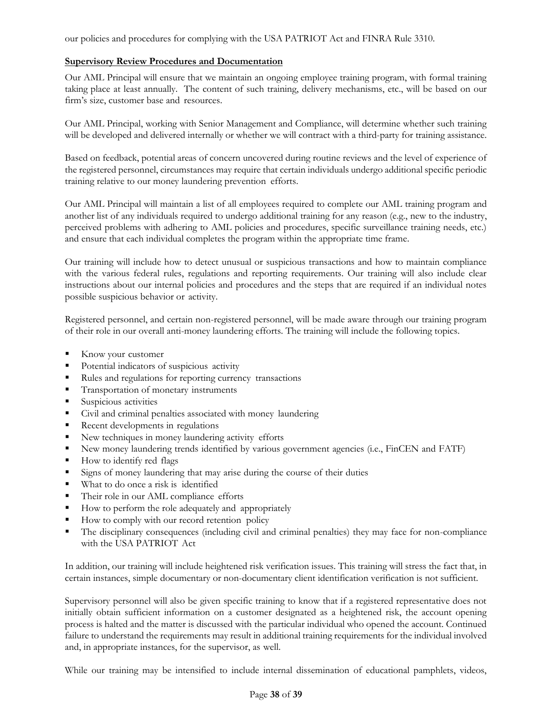our policies and procedures for complying with the USA PATRIOT Act and FINRA Rule 3310.

### **Supervisory Review Procedures and Documentation**

Our AML Principal will ensure that we maintain an ongoing employee training program, with formal training taking place at least annually. The content of such training, delivery mechanisms, etc., will be based on our firm's size, customer base and resources.

Our AML Principal, working with Senior Management and Compliance, will determine whether such training will be developed and delivered internally or whether we will contract with a third-party for training assistance.

Based on feedback, potential areas of concern uncovered during routine reviews and the level of experience of the registered personnel, circumstances may require that certain individuals undergo additional specific periodic training relative to our money laundering prevention efforts.

Our AML Principal will maintain a list of all employees required to complete our AML training program and another list of any individuals required to undergo additional training for any reason (e.g., new to the industry, perceived problems with adhering to AML policies and procedures, specific surveillance training needs, etc.) and ensure that each individual completes the program within the appropriate time frame.

Our training will include how to detect unusual or suspicious transactions and how to maintain compliance with the various federal rules, regulations and reporting requirements. Our training will also include clear instructions about our internal policies and procedures and the steps that are required if an individual notes possible suspicious behavior or activity.

Registered personnel, and certain non-registered personnel, will be made aware through our training program of their role in our overall anti-money laundering efforts. The training will include the following topics.

- Know your customer
- **Potential indicators of suspicious activity**
- Rules and regulations for reporting currency transactions
- **Transportation of monetary instruments**
- **Suspicious activities**
- Civil and criminal penalties associated with money laundering
- Recent developments in regulations
- New techniques in money laundering activity efforts
- New money laundering trends identified by various government agencies (i.e., FinCEN and FATF)
- How to identify red flags
- Signs of money laundering that may arise during the course of their duties
- What to do once a risk is identified
- Their role in our AML compliance efforts
- How to perform the role adequately and appropriately
- How to comply with our record retention policy
- The disciplinary consequences (including civil and criminal penalties) they may face for non-compliance with the USA PATRIOT Act

In addition, our training will include heightened risk verification issues. This training will stress the fact that, in certain instances, simple documentary or non-documentary client identification verification is not sufficient.

Supervisory personnel will also be given specific training to know that if a registered representative does not initially obtain sufficient information on a customer designated as a heightened risk, the account opening process is halted and the matter is discussed with the particular individual who opened the account. Continued failure to understand the requirements may result in additional training requirements for the individual involved and, in appropriate instances, for the supervisor, as well.

While our training may be intensified to include internal dissemination of educational pamphlets, videos,